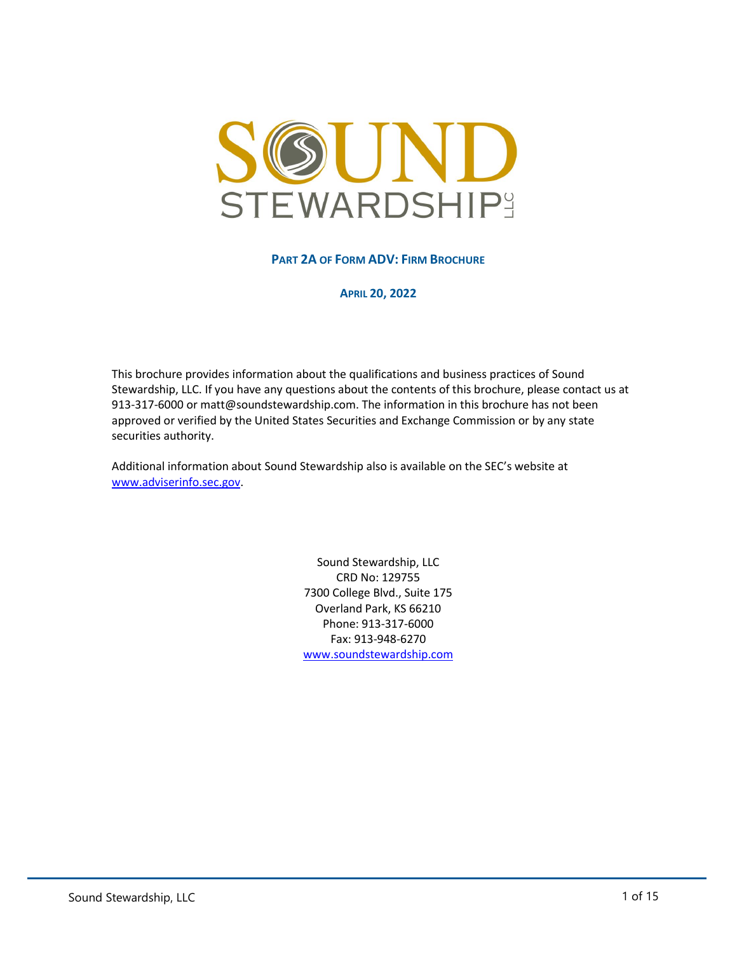<span id="page-0-0"></span>

**PART 2A OF FORM ADV: FIRM BROCHURE**

**APRIL 20, 2022**

This brochure provides information about the qualifications and business practices of Sound Stewardship, LLC. If you have any questions about the contents of this brochure, please contact us at 913-317-6000 or matt@soundstewardship.com. The information in this brochure has not been approved or verified by the United States Securities and Exchange Commission or by any state securities authority.

Additional information about Sound Stewardship also is available on the SEC's website at [www.adviserinfo.sec.gov.](http://www.adviserinfo.sec.gov/)

> Sound Stewardship, LLC CRD No: 129755 7300 College Blvd., Suite 175 Overland Park, KS 66210 Phone: 913-317-6000 Fax: 913-948-6270 [www.soundstewardship.com](http://www.soundstewardship.com/)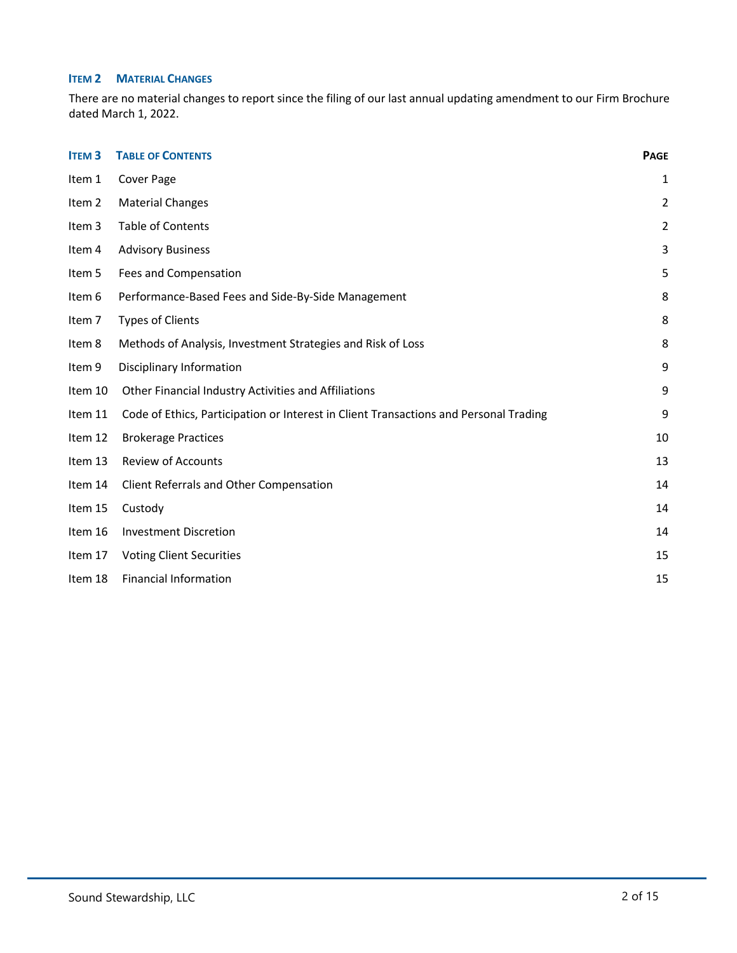# **ITEM 2 MATERIAL CHANGES**

There are no material changes to report since the filing of our last annual updating amendment to our Firm Brochure dated March 1, 2022.

<span id="page-1-1"></span><span id="page-1-0"></span>

| <b>ITEM3</b> | <b>TABLE OF CONTENTS</b>                                                              | <b>PAGE</b>    |
|--------------|---------------------------------------------------------------------------------------|----------------|
| Item 1       | Cover Page                                                                            | $\mathbf{1}$   |
| Item 2       | <b>Material Changes</b>                                                               | $\overline{2}$ |
| Item 3       | Table of Contents                                                                     | $\overline{2}$ |
| Item 4       | <b>Advisory Business</b>                                                              | 3              |
| Item 5       | Fees and Compensation                                                                 | 5              |
| Item 6       | Performance-Based Fees and Side-By-Side Management                                    | 8              |
| Item 7       | <b>Types of Clients</b>                                                               | 8              |
| Item 8       | Methods of Analysis, Investment Strategies and Risk of Loss                           | 8              |
| Item 9       | Disciplinary Information                                                              | 9              |
| Item 10      | Other Financial Industry Activities and Affiliations                                  | 9              |
| Item 11      | Code of Ethics, Participation or Interest in Client Transactions and Personal Trading | 9              |
| Item 12      | <b>Brokerage Practices</b>                                                            | 10             |
| Item 13      | <b>Review of Accounts</b>                                                             | 13             |
| Item 14      | Client Referrals and Other Compensation                                               | 14             |
| Item 15      | Custody                                                                               | 14             |
| Item 16      | <b>Investment Discretion</b>                                                          | 14             |
| Item 17      | <b>Voting Client Securities</b>                                                       | 15             |
| Item 18      | <b>Financial Information</b>                                                          | 15             |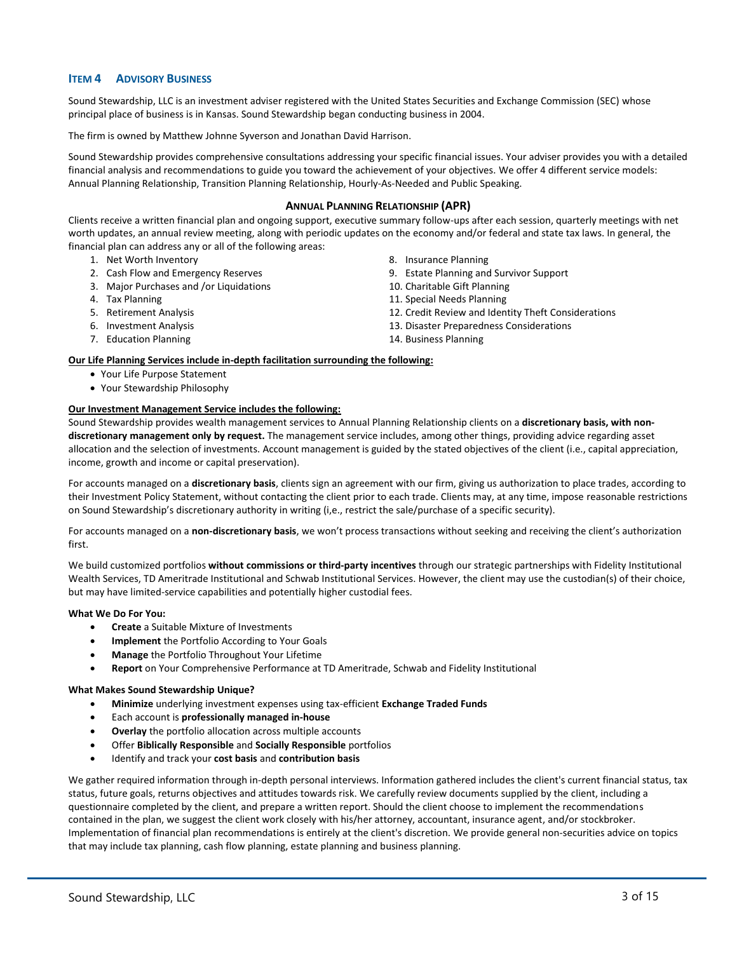# **ITEM 4 ADVISORY BUSINESS**

Sound Stewardship, LLC is an investment adviser registered with the United States Securities and Exchange Commission (SEC) whose principal place of business is in Kansas. Sound Stewardship began conducting business in 2004.

The firm is owned by Matthew Johnne Syverson and Jonathan David Harrison.

Sound Stewardship provides comprehensive consultations addressing your specific financial issues. Your adviser provides you with a detailed financial analysis and recommendations to guide you toward the achievement of your objectives. We offer 4 different service models: Annual Planning Relationship, Transition Planning Relationship, Hourly-As-Needed and Public Speaking.

## **ANNUAL PLANNING RELATIONSHIP (APR)**

Clients receive a written financial plan and ongoing support, executive summary follow-ups after each session, quarterly meetings with net worth updates, an annual review meeting, along with periodic updates on the economy and/or federal and state tax laws. In general, the financial plan can address any or all of the following areas:

- 1. Net Worth Inventory
- 2. Cash Flow and Emergency Reserves
- 3. Major Purchases and /or Liquidations
- 4. Tax Planning
- 5. Retirement Analysis
- 6. Investment Analysis
- 7. Education Planning
- 8. Insurance Planning
- 9. Estate Planning and Survivor Support
- 10. Charitable Gift Planning
- 11. Special Needs Planning
- 12. Credit Review and Identity Theft Considerations
- 13. Disaster Preparedness Considerations
- 14. Business Planning

#### **Our Life Planning Services include in-depth facilitation surrounding the following:**

- Your Life Purpose Statement
- Your Stewardship Philosophy

#### **Our Investment Management Service includes the following:**

Sound Stewardship provides wealth management services to Annual Planning Relationship clients on a **discretionary basis, with nondiscretionary management only by request.** The management service includes, among other things, providing advice regarding asset allocation and the selection of investments. Account management is guided by the stated objectives of the client (i.e., capital appreciation, income, growth and income or capital preservation).

For accounts managed on a **discretionary basis**, clients sign an agreement with our firm, giving us authorization to place trades, according to their Investment Policy Statement, without contacting the client prior to each trade. Clients may, at any time, impose reasonable restrictions on Sound Stewardship's discretionary authority in writing (i,e., restrict the sale/purchase of a specific security).

For accounts managed on a **non-discretionary basis**, we won't process transactions without seeking and receiving the client's authorization first.

We build customized portfolios **without commissions or third-party incentives** through our strategic partnerships with Fidelity Institutional Wealth Services, TD Ameritrade Institutional and Schwab Institutional Services. However, the client may use the custodian(s) of their choice, but may have limited-service capabilities and potentially higher custodial fees.

#### **What We Do For You:**

- **Create** a Suitable Mixture of Investments
- **Implement** the Portfolio According to Your Goals
- **Manage** the Portfolio Throughout Your Lifetime
- **Report** on Your Comprehensive Performance at TD Ameritrade, Schwab and Fidelity Institutional

#### **What Makes Sound Stewardship Unique?**

- **Minimize** underlying investment expenses using tax-efficient **Exchange Traded Funds**
- Each account is **professionally managed in-house**
- **Overlay** the portfolio allocation across multiple accounts
- Offer **Biblically Responsible** and **Socially Responsible** portfolios
- Identify and track your **cost basis** and **contribution basis**

We gather required information through in-depth personal interviews. Information gathered includes the client's current financial status, tax status, future goals, returns objectives and attitudes towards risk. We carefully review documents supplied by the client, including a questionnaire completed by the client, and prepare a written report. Should the client choose to implement the recommendations contained in the plan, we suggest the client work closely with his/her attorney, accountant, insurance agent, and/or stockbroker. Implementation of financial plan recommendations is entirely at the client's discretion. We provide general non-securities advice on topics that may include tax planning, cash flow planning, estate planning and business planning.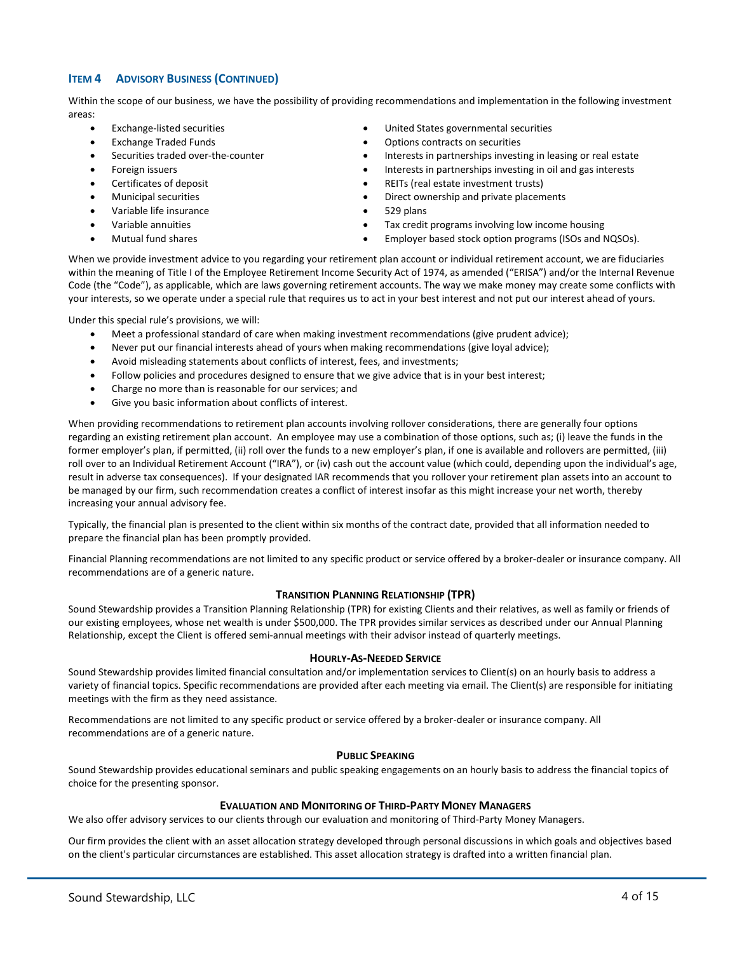# **ITEM 4 ADVISORY BUSINESS (CONTINUED)**

Within the scope of our business, we have the possibility of providing recommendations and implementation in the following investment areas:

- Exchange-listed securities
- Exchange Traded Funds
- Securities traded over-the-counter
- Foreign issuers
- Certificates of deposit
- Municipal securities
- Variable life insurance
- Variable annuities
- Mutual fund shares
- United States governmental securities
- Options contracts on securities
- Interests in partnerships investing in leasing or real estate
- Interests in partnerships investing in oil and gas interests
- REITs (real estate investment trusts)
- Direct ownership and private placements
- 529 plans
- Tax credit programs involving low income housing
- Employer based stock option programs (ISOs and NQSOs).

When we provide investment advice to you regarding your retirement plan account or individual retirement account, we are fiduciaries within the meaning of Title I of the Employee Retirement Income Security Act of 1974, as amended ("ERISA") and/or the Internal Revenue Code (the "Code"), as applicable, which are laws governing retirement accounts. The way we make money may create some conflicts with your interests, so we operate under a special rule that requires us to act in your best interest and not put our interest ahead of yours.

Under this special rule's provisions, we will:

- Meet a professional standard of care when making investment recommendations (give prudent advice);
- Never put our financial interests ahead of yours when making recommendations (give loyal advice);
- Avoid misleading statements about conflicts of interest, fees, and investments;
- Follow policies and procedures designed to ensure that we give advice that is in your best interest;
- Charge no more than is reasonable for our services; and
- Give you basic information about conflicts of interest.

When providing recommendations to retirement plan accounts involving rollover considerations, there are generally four options regarding an existing retirement plan account. An employee may use a combination of those options, such as; (i) leave the funds in the former employer's plan, if permitted, (ii) roll over the funds to a new employer's plan, if one is available and rollovers are permitted, (iii) roll over to an Individual Retirement Account ("IRA"), or (iv) cash out the account value (which could, depending upon the individual's age, result in adverse tax consequences). If your designated IAR recommends that you rollover your retirement plan assets into an account to be managed by our firm, such recommendation creates a conflict of interest insofar as this might increase your net worth, thereby increasing your annual advisory fee.

Typically, the financial plan is presented to the client within six months of the contract date, provided that all information needed to prepare the financial plan has been promptly provided.

Financial Planning recommendations are not limited to any specific product or service offered by a broker-dealer or insurance company. All recommendations are of a generic nature.

# **TRANSITION PLANNING RELATIONSHIP (TPR)**

Sound Stewardship provides a Transition Planning Relationship (TPR) for existing Clients and their relatives, as well as family or friends of our existing employees, whose net wealth is under \$500,000. The TPR provides similar services as described under our Annual Planning Relationship, except the Client is offered semi-annual meetings with their advisor instead of quarterly meetings.

#### **HOURLY-AS-NEEDED SERVICE**

Sound Stewardship provides limited financial consultation and/or implementation services to Client(s) on an hourly basis to address a variety of financial topics. Specific recommendations are provided after each meeting via email. The Client(s) are responsible for initiating meetings with the firm as they need assistance.

Recommendations are not limited to any specific product or service offered by a broker-dealer or insurance company. All recommendations are of a generic nature.

#### **PUBLIC SPEAKING**

Sound Stewardship provides educational seminars and public speaking engagements on an hourly basis to address the financial topics of choice for the presenting sponsor.

## **EVALUATION AND MONITORING OF THIRD-PARTY MONEY MANAGERS**

We also offer advisory services to our clients through our evaluation and monitoring of Third-Party Money Managers.

Our firm provides the client with an asset allocation strategy developed through personal discussions in which goals and objectives based on the client's particular circumstances are established. This asset allocation strategy is drafted into a written financial plan.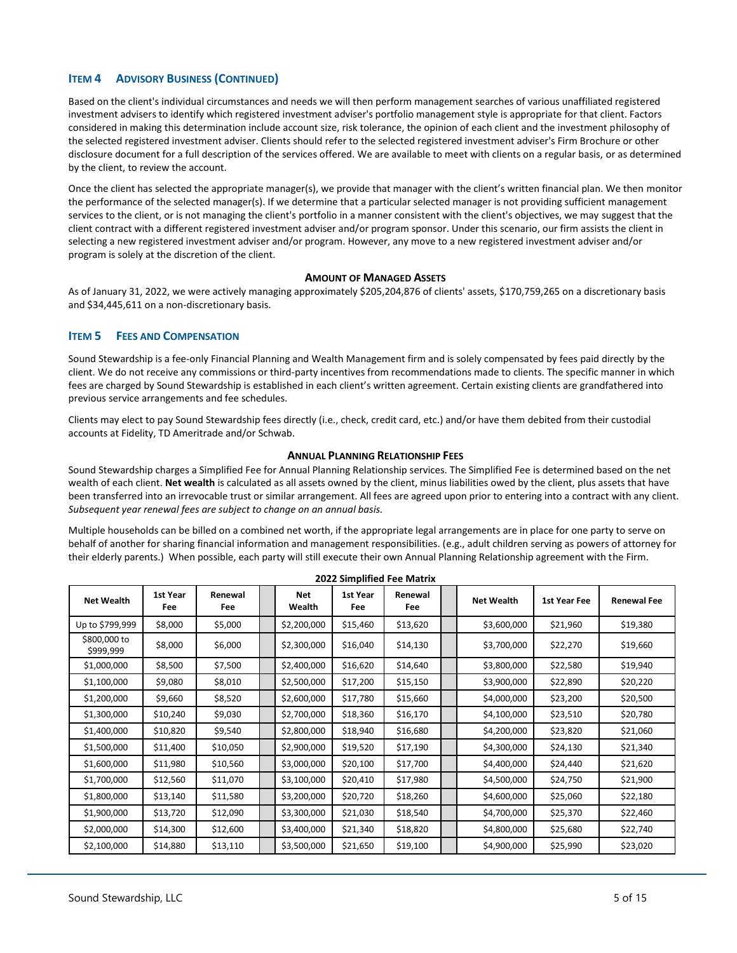# **ITEM 4 ADVISORY BUSINESS (CONTINUED)**

Based on the client's individual circumstances and needs we will then perform management searches of various unaffiliated registered investment advisers to identify which registered investment adviser's portfolio management style is appropriate for that client. Factors considered in making this determination include account size, risk tolerance, the opinion of each client and the investment philosophy of the selected registered investment adviser. Clients should refer to the selected registered investment adviser's Firm Brochure or other disclosure document for a full description of the services offered. We are available to meet with clients on a regular basis, or as determined by the client, to review the account.

Once the client has selected the appropriate manager(s), we provide that manager with the client's written financial plan. We then monitor the performance of the selected manager(s). If we determine that a particular selected manager is not providing sufficient management services to the client, or is not managing the client's portfolio in a manner consistent with the client's objectives, we may suggest that the client contract with a different registered investment adviser and/or program sponsor. Under this scenario, our firm assists the client in selecting a new registered investment adviser and/or program. However, any move to a new registered investment adviser and/or program is solely at the discretion of the client.

#### **AMOUNT OF MANAGED ASSETS**

As of January 31, 2022, we were actively managing approximately \$205,204,876 of clients' assets, \$170,759,265 on a discretionary basis and \$34,445,611 on a non-discretionary basis.

## <span id="page-4-0"></span>**ITEM 5 FEES AND COMPENSATION**

Sound Stewardship is a fee-only Financial Planning and Wealth Management firm and is solely compensated by fees paid directly by the client. We do not receive any commissions or third-party incentives from recommendations made to clients. The specific manner in which fees are charged by Sound Stewardship is established in each client's written agreement. Certain existing clients are grandfathered into previous service arrangements and fee schedules.

Clients may elect to pay Sound Stewardship fees directly (i.e., check, credit card, etc.) and/or have them debited from their custodial accounts at Fidelity, TD Ameritrade and/or Schwab.

#### **ANNUAL PLANNING RELATIONSHIP FEES**

Sound Stewardship charges a Simplified Fee for Annual Planning Relationship services. The Simplified Fee is determined based on the net wealth of each client. **Net wealth** is calculated as all assets owned by the client, minus liabilities owed by the client, plus assets that have been transferred into an irrevocable trust or similar arrangement. All fees are agreed upon prior to entering into a contract with any client. *Subsequent year renewal fees are subject to change on an annual basis.* 

Multiple households can be billed on a combined net worth, if the appropriate legal arrangements are in place for one party to serve on behalf of another for sharing financial information and management responsibilities. (e.g., adult children serving as powers of attorney for their elderly parents.) When possible, each party will still execute their own Annual Planning Relationship agreement with the Firm.

| <b>2022 Simplified Fee Matrix</b> |                 |                |  |               |                 |                |  |                   |              |                    |
|-----------------------------------|-----------------|----------------|--|---------------|-----------------|----------------|--|-------------------|--------------|--------------------|
| <b>Net Wealth</b>                 | 1st Year<br>Fee | Renewal<br>Fee |  | Net<br>Wealth | 1st Year<br>Fee | Renewal<br>Fee |  | <b>Net Wealth</b> | 1st Year Fee | <b>Renewal Fee</b> |
| Up to \$799,999                   | \$8,000         | \$5,000        |  | \$2,200,000   | \$15,460        | \$13,620       |  | \$3,600,000       | \$21,960     | \$19,380           |
| \$800,000 to<br>\$999,999         | \$8,000         | \$6,000        |  | \$2,300,000   | \$16,040        | \$14,130       |  | \$3,700,000       | \$22,270     | \$19,660           |
| \$1,000,000                       | \$8,500         | \$7,500        |  | \$2,400,000   | \$16,620        | \$14,640       |  | \$3,800,000       | \$22,580     | \$19,940           |
| \$1,100,000                       | \$9,080         | \$8,010        |  | \$2,500,000   | \$17,200        | \$15,150       |  | \$3,900,000       | \$22,890     | \$20,220           |
| \$1,200,000                       | \$9,660         | \$8,520        |  | \$2,600,000   | \$17,780        | \$15,660       |  | \$4,000,000       | \$23,200     | \$20,500           |
| \$1,300,000                       | \$10,240        | \$9,030        |  | \$2,700,000   | \$18,360        | \$16,170       |  | \$4,100,000       | \$23,510     | \$20,780           |
| \$1,400,000                       | \$10,820        | \$9,540        |  | \$2,800,000   | \$18,940        | \$16,680       |  | \$4,200,000       | \$23,820     | \$21,060           |
| \$1,500,000                       | \$11,400        | \$10,050       |  | \$2,900,000   | \$19,520        | \$17,190       |  | \$4,300,000       | \$24,130     | \$21,340           |
| \$1,600,000                       | \$11,980        | \$10,560       |  | \$3,000,000   | \$20,100        | \$17,700       |  | \$4,400,000       | \$24,440     | \$21,620           |
| \$1,700,000                       | \$12,560        | \$11,070       |  | \$3,100,000   | \$20,410        | \$17,980       |  | \$4,500,000       | \$24,750     | \$21,900           |
| \$1,800,000                       | \$13,140        | \$11,580       |  | \$3,200,000   | \$20,720        | \$18,260       |  | \$4,600,000       | \$25,060     | \$22,180           |
| \$1,900,000                       | \$13,720        | \$12,090       |  | \$3,300,000   | \$21,030        | \$18,540       |  | \$4,700,000       | \$25,370     | \$22,460           |
| \$2,000,000                       | \$14,300        | \$12,600       |  | \$3,400,000   | \$21,340        | \$18,820       |  | \$4,800,000       | \$25,680     | \$22,740           |
| \$2,100,000                       | \$14,880        | \$13,110       |  | \$3,500,000   | \$21,650        | \$19,100       |  | \$4,900,000       | \$25,990     | \$23,020           |

**2022 Simplified Fee Matrix**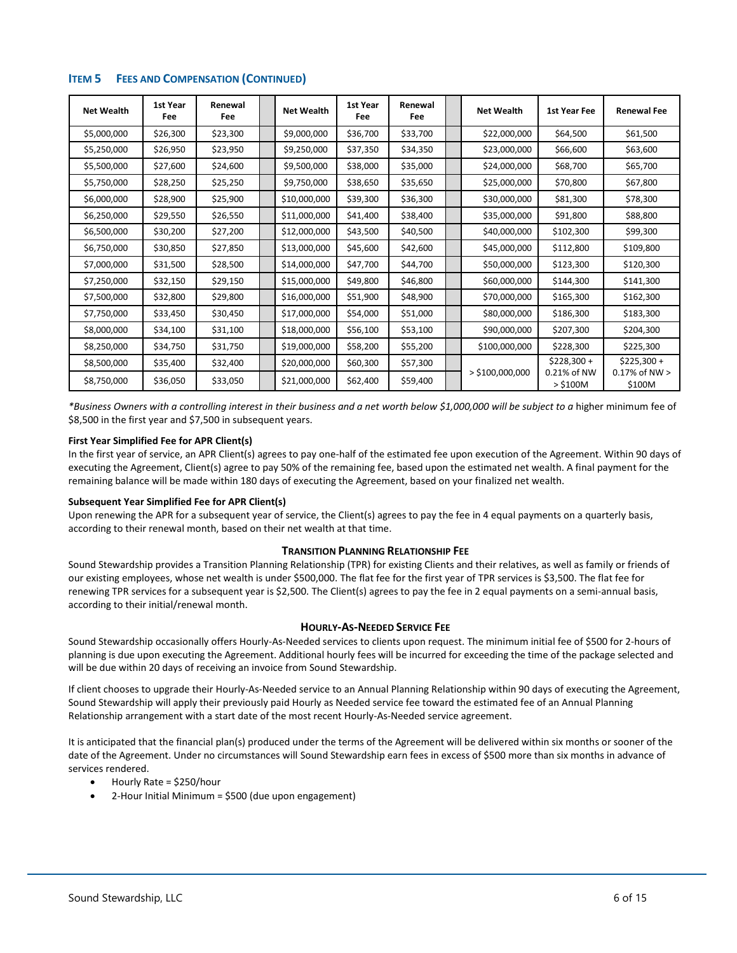| <b>Net Wealth</b> | 1st Year<br>Fee | Renewal<br>Fee | <b>Net Wealth</b> | 1st Year<br>Fee | Renewal<br>Fee | <b>Net Wealth</b> | <b>1st Year Fee</b>       | <b>Renewal Fee</b>           |
|-------------------|-----------------|----------------|-------------------|-----------------|----------------|-------------------|---------------------------|------------------------------|
| \$5,000,000       | \$26,300        | \$23,300       | \$9,000,000       | \$36,700        | \$33,700       | \$22,000,000      | \$64,500                  | \$61,500                     |
| \$5,250,000       | \$26,950        | \$23,950       | \$9,250,000       | \$37,350        | \$34,350       | \$23,000,000      | \$66,600                  | \$63,600                     |
| \$5,500,000       | \$27,600        | \$24,600       | \$9,500,000       | \$38,000        | \$35,000       | \$24,000,000      | \$68,700                  | \$65,700                     |
| \$5,750,000       | \$28,250        | \$25,250       | \$9,750,000       | \$38,650        | \$35,650       | \$25,000,000      | \$70,800                  | \$67,800                     |
| \$6,000,000       | \$28,900        | \$25,900       | \$10,000,000      | \$39,300        | \$36,300       | \$30,000,000      | \$81,300                  | \$78,300                     |
| \$6,250,000       | \$29,550        | \$26,550       | \$11,000,000      | \$41,400        | \$38,400       | \$35,000,000      | \$91,800                  | \$88,800                     |
| \$6,500,000       | \$30,200        | \$27,200       | \$12,000,000      | \$43,500        | \$40,500       | \$40,000,000      | \$102,300                 | \$99,300                     |
| \$6,750,000       | \$30,850        | \$27,850       | \$13,000,000      | \$45,600        | \$42,600       | \$45,000,000      | \$112,800                 | \$109,800                    |
| \$7,000,000       | \$31,500        | \$28,500       | \$14,000,000      | \$47,700        | \$44,700       | \$50,000,000      | \$123,300                 | \$120,300                    |
| \$7,250,000       | \$32,150        | \$29,150       | \$15,000,000      | \$49,800        | \$46,800       | \$60,000,000      | \$144,300                 | \$141,300                    |
| \$7,500,000       | \$32,800        | \$29,800       | \$16,000,000      | \$51,900        | \$48,900       | \$70,000,000      | \$165,300                 | \$162,300                    |
| \$7,750,000       | \$33,450        | \$30,450       | \$17,000,000      | \$54,000        | \$51,000       | \$80,000,000      | \$186,300                 | \$183,300                    |
| \$8,000,000       | \$34,100        | \$31,100       | \$18,000,000      | \$56,100        | \$53,100       | \$90,000,000      | \$207,300                 | \$204,300                    |
| \$8,250,000       | \$34,750        | \$31,750       | \$19,000,000      | \$58,200        | \$55,200       | \$100,000,000     | \$228,300                 | \$225,300                    |
| \$8,500,000       | \$35,400        | \$32,400       | \$20,000,000      | \$60,300        | \$57,300       |                   | $$228,300 +$              | $$225,300 +$                 |
| \$8,750,000       | \$36,050        | \$33,050       | \$21,000,000      | \$62,400        | \$59,400       | $>$ \$100,000,000 | 0.21% of NW<br>$>$ \$100M | $0.17\%$ of NW $>$<br>\$100M |

# **ITEM 5 FEES AND COMPENSATION (CONTINUED)**

*\*Business Owners with a controlling interest in their business and a net worth below \$1,000,000 will be subject to a* higher minimum fee of \$8,500 in the first year and \$7,500 in subsequent years.

#### **First Year Simplified Fee for APR Client(s)**

In the first year of service, an APR Client(s) agrees to pay one-half of the estimated fee upon execution of the Agreement. Within 90 days of executing the Agreement, Client(s) agree to pay 50% of the remaining fee, based upon the estimated net wealth. A final payment for the remaining balance will be made within 180 days of executing the Agreement, based on your finalized net wealth.

#### **Subsequent Year Simplified Fee for APR Client(s)**

Upon renewing the APR for a subsequent year of service, the Client(s) agrees to pay the fee in 4 equal payments on a quarterly basis, according to their renewal month, based on their net wealth at that time.

## **TRANSITION PLANNING RELATIONSHIP FEE**

Sound Stewardship provides a Transition Planning Relationship (TPR) for existing Clients and their relatives, as well as family or friends of our existing employees, whose net wealth is under \$500,000. The flat fee for the first year of TPR services is \$3,500. The flat fee for renewing TPR services for a subsequent year is \$2,500. The Client(s) agrees to pay the fee in 2 equal payments on a semi-annual basis, according to their initial/renewal month.

#### **HOURLY-AS-NEEDED SERVICE FEE**

Sound Stewardship occasionally offers Hourly-As-Needed services to clients upon request. The minimum initial fee of \$500 for 2-hours of planning is due upon executing the Agreement. Additional hourly fees will be incurred for exceeding the time of the package selected and will be due within 20 days of receiving an invoice from Sound Stewardship.

If client chooses to upgrade their Hourly-As-Needed service to an Annual Planning Relationship within 90 days of executing the Agreement, Sound Stewardship will apply their previously paid Hourly as Needed service fee toward the estimated fee of an Annual Planning Relationship arrangement with a start date of the most recent Hourly-As-Needed service agreement.

It is anticipated that the financial plan(s) produced under the terms of the Agreement will be delivered within six months or sooner of the date of the Agreement. Under no circumstances will Sound Stewardship earn fees in excess of \$500 more than six months in advance of services rendered.

- Hourly Rate = \$250/hour
- 2-Hour Initial Minimum = \$500 (due upon engagement)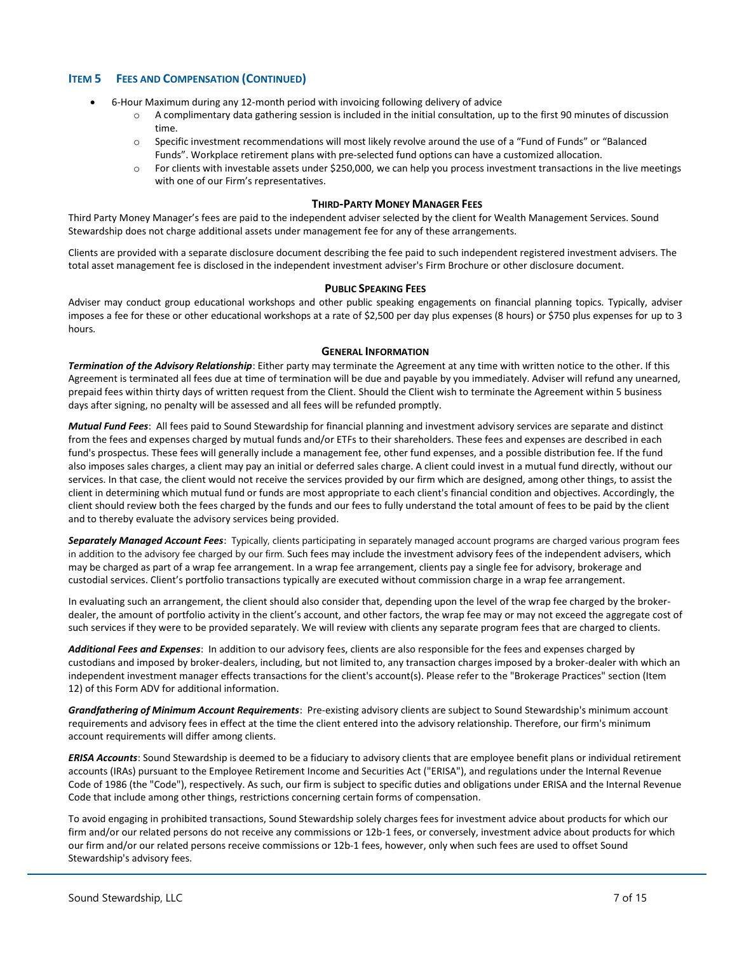# **ITEM 5 FEES AND COMPENSATION (CONTINUED)**

- 6-Hour Maximum during any 12-month period with invoicing following delivery of advice
	- o A complimentary data gathering session is included in the initial consultation, up to the first 90 minutes of discussion time.
	- o Specific investment recommendations will most likely revolve around the use of a "Fund of Funds" or "Balanced Funds". Workplace retirement plans with pre-selected fund options can have a customized allocation.
	- For clients with investable assets under \$250,000, we can help you process investment transactions in the live meetings with one of our Firm's representatives.

#### **THIRD-PARTY MONEY MANAGER FEES**

Third Party Money Manager's fees are paid to the independent adviser selected by the client for Wealth Management Services. Sound Stewardship does not charge additional assets under management fee for any of these arrangements.

Clients are provided with a separate disclosure document describing the fee paid to such independent registered investment advisers. The total asset management fee is disclosed in the independent investment adviser's Firm Brochure or other disclosure document.

#### **PUBLIC SPEAKING FEES**

Adviser may conduct group educational workshops and other public speaking engagements on financial planning topics. Typically, adviser imposes a fee for these or other educational workshops at a rate of \$2,500 per day plus expenses (8 hours) or \$750 plus expenses for up to 3 hours.

#### **GENERAL INFORMATION**

*Termination of the Advisory Relationship*: Either party may terminate the Agreement at any time with written notice to the other. If this Agreement is terminated all fees due at time of termination will be due and payable by you immediately. Adviser will refund any unearned, prepaid fees within thirty days of written request from the Client. Should the Client wish to terminate the Agreement within 5 business days after signing, no penalty will be assessed and all fees will be refunded promptly.

*Mutual Fund Fees*: All fees paid to Sound Stewardship for financial planning and investment advisory services are separate and distinct from the fees and expenses charged by mutual funds and/or ETFs to their shareholders. These fees and expenses are described in each fund's prospectus. These fees will generally include a management fee, other fund expenses, and a possible distribution fee. If the fund also imposes sales charges, a client may pay an initial or deferred sales charge. A client could invest in a mutual fund directly, without our services. In that case, the client would not receive the services provided by our firm which are designed, among other things, to assist the client in determining which mutual fund or funds are most appropriate to each client's financial condition and objectives. Accordingly, the client should review both the fees charged by the funds and our fees to fully understand the total amount of fees to be paid by the client and to thereby evaluate the advisory services being provided.

*Separately Managed Account Fees*: Typically, clients participating in separately managed account programs are charged various program fees in addition to the advisory fee charged by our firm. Such fees may include the investment advisory fees of the independent advisers, which may be charged as part of a wrap fee arrangement. In a wrap fee arrangement, clients pay a single fee for advisory, brokerage and custodial services. Client's portfolio transactions typically are executed without commission charge in a wrap fee arrangement.

In evaluating such an arrangement, the client should also consider that, depending upon the level of the wrap fee charged by the brokerdealer, the amount of portfolio activity in the client's account, and other factors, the wrap fee may or may not exceed the aggregate cost of such services if they were to be provided separately. We will review with clients any separate program fees that are charged to clients.

*Additional Fees and Expenses*: In addition to our advisory fees, clients are also responsible for the fees and expenses charged by custodians and imposed by broker-dealers, including, but not limited to, any transaction charges imposed by a broker-dealer with which an independent investment manager effects transactions for the client's account(s). Please refer to the "Brokerage Practices" section (Item 12) of this Form ADV for additional information.

*Grandfathering of Minimum Account Requirements*: Pre-existing advisory clients are subject to Sound Stewardship's minimum account requirements and advisory fees in effect at the time the client entered into the advisory relationship. Therefore, our firm's minimum account requirements will differ among clients.

*ERISA Accounts*: Sound Stewardship is deemed to be a fiduciary to advisory clients that are employee benefit plans or individual retirement accounts (IRAs) pursuant to the Employee Retirement Income and Securities Act ("ERISA"), and regulations under the Internal Revenue Code of 1986 (the "Code"), respectively. As such, our firm is subject to specific duties and obligations under ERISA and the Internal Revenue Code that include among other things, restrictions concerning certain forms of compensation.

To avoid engaging in prohibited transactions, Sound Stewardship solely charges fees for investment advice about products for which our firm and/or our related persons do not receive any commissions or 12b-1 fees, or conversely, investment advice about products for which our firm and/or our related persons receive commissions or 12b-1 fees, however, only when such fees are used to offset Sound Stewardship's advisory fees.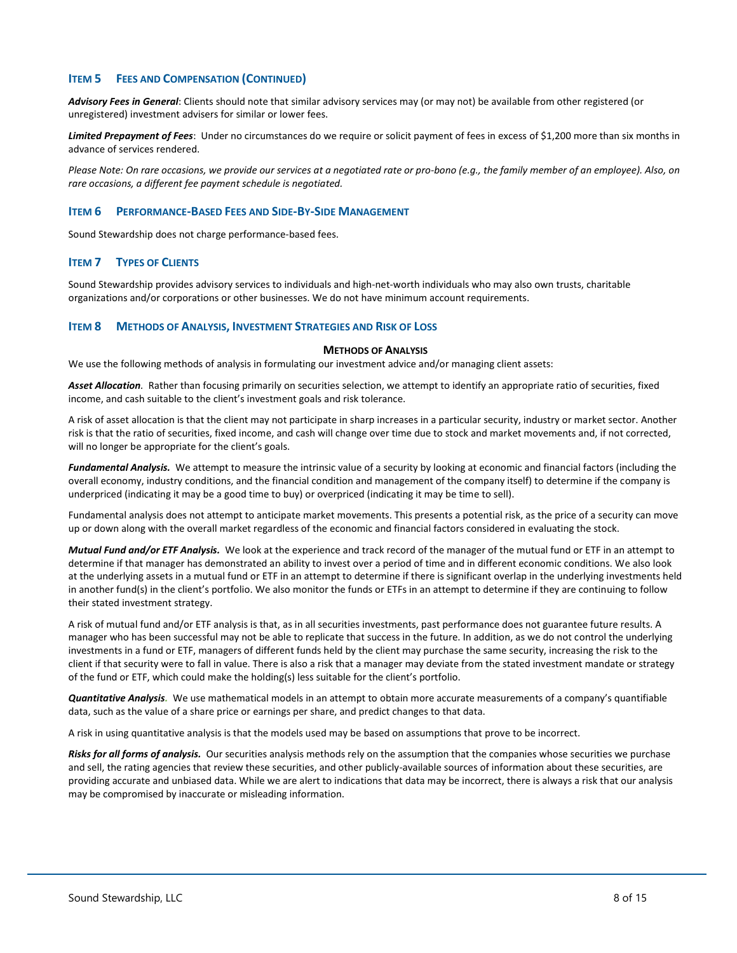# **ITEM 5 FEES AND COMPENSATION (CONTINUED)**

*Advisory Fees in General*: Clients should note that similar advisory services may (or may not) be available from other registered (or unregistered) investment advisers for similar or lower fees.

*Limited Prepayment of Fees*: Under no circumstances do we require or solicit payment of fees in excess of \$1,200 more than six months in advance of services rendered.

*Please Note: On rare occasions, we provide our services at a negotiated rate or pro-bono (e.g., the family member of an employee). Also, on rare occasions, a different fee payment schedule is negotiated.*

## <span id="page-7-0"></span>**ITEM 6 PERFORMANCE-BASED FEES AND SIDE-BY-SIDE MANAGEMENT**

Sound Stewardship does not charge performance-based fees.

## <span id="page-7-1"></span>**ITEM 7 TYPES OF CLIENTS**

Sound Stewardship provides advisory services to individuals and high-net-worth individuals who may also own trusts, charitable organizations and/or corporations or other businesses. We do not have minimum account requirements.

#### <span id="page-7-2"></span>**ITEM 8 METHODS OF ANALYSIS, INVESTMENT STRATEGIES AND RISK OF LOSS**

#### **METHODS OF ANALYSIS**

We use the following methods of analysis in formulating our investment advice and/or managing client assets:

*Asset Allocation.* Rather than focusing primarily on securities selection, we attempt to identify an appropriate ratio of securities, fixed income, and cash suitable to the client's investment goals and risk tolerance.

A risk of asset allocation is that the client may not participate in sharp increases in a particular security, industry or market sector. Another risk is that the ratio of securities, fixed income, and cash will change over time due to stock and market movements and, if not corrected, will no longer be appropriate for the client's goals.

*Fundamental Analysis.* We attempt to measure the intrinsic value of a security by looking at economic and financial factors (including the overall economy, industry conditions, and the financial condition and management of the company itself) to determine if the company is underpriced (indicating it may be a good time to buy) or overpriced (indicating it may be time to sell).

Fundamental analysis does not attempt to anticipate market movements. This presents a potential risk, as the price of a security can move up or down along with the overall market regardless of the economic and financial factors considered in evaluating the stock.

*Mutual Fund and/or ETF Analysis.* We look at the experience and track record of the manager of the mutual fund or ETF in an attempt to determine if that manager has demonstrated an ability to invest over a period of time and in different economic conditions. We also look at the underlying assets in a mutual fund or ETF in an attempt to determine if there is significant overlap in the underlying investments held in another fund(s) in the client's portfolio. We also monitor the funds or ETFs in an attempt to determine if they are continuing to follow their stated investment strategy.

A risk of mutual fund and/or ETF analysis is that, as in all securities investments, past performance does not guarantee future results. A manager who has been successful may not be able to replicate that success in the future. In addition, as we do not control the underlying investments in a fund or ETF, managers of different funds held by the client may purchase the same security, increasing the risk to the client if that security were to fall in value. There is also a risk that a manager may deviate from the stated investment mandate or strategy of the fund or ETF, which could make the holding(s) less suitable for the client's portfolio.

*Quantitative Analysis.* We use mathematical models in an attempt to obtain more accurate measurements of a company's quantifiable data, such as the value of a share price or earnings per share, and predict changes to that data.

A risk in using quantitative analysis is that the models used may be based on assumptions that prove to be incorrect.

*Risks for all forms of analysis.* Our securities analysis methods rely on the assumption that the companies whose securities we purchase and sell, the rating agencies that review these securities, and other publicly-available sources of information about these securities, are providing accurate and unbiased data. While we are alert to indications that data may be incorrect, there is always a risk that our analysis may be compromised by inaccurate or misleading information.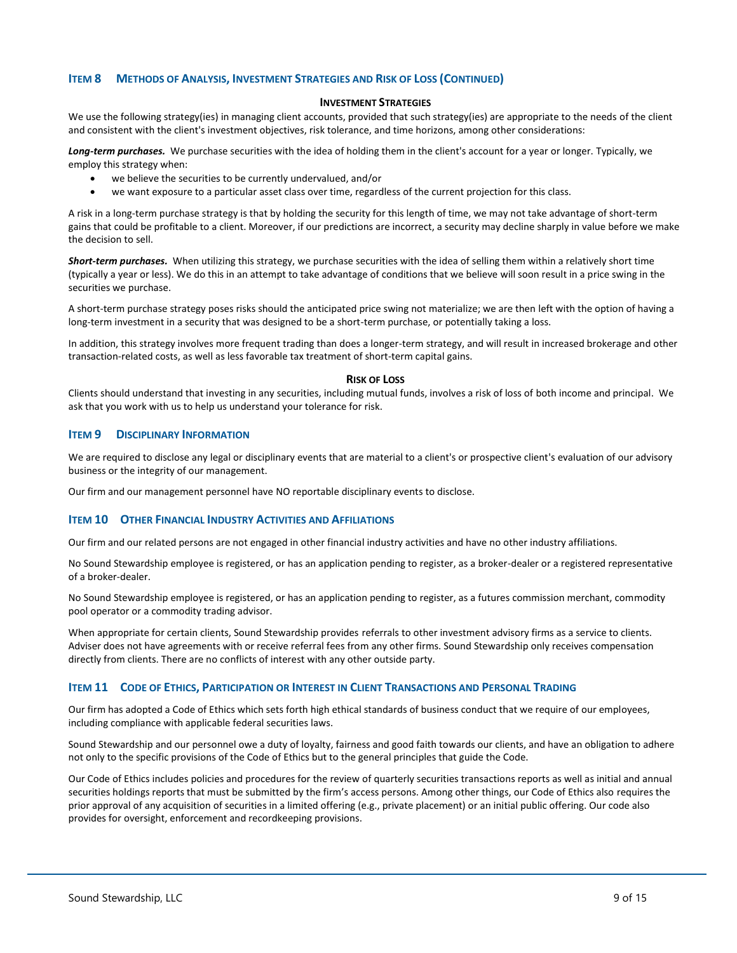## **ITEM 8 METHODS OF ANALYSIS, INVESTMENT STRATEGIES AND RISK OF LOSS (CONTINUED)**

#### **INVESTMENT STRATEGIES**

We use the following strategy(ies) in managing client accounts, provided that such strategy(ies) are appropriate to the needs of the client and consistent with the client's investment objectives, risk tolerance, and time horizons, among other considerations:

*Long-term purchases.* We purchase securities with the idea of holding them in the client's account for a year or longer. Typically, we employ this strategy when:

- we believe the securities to be currently undervalued, and/or
- we want exposure to a particular asset class over time, regardless of the current projection for this class.

A risk in a long-term purchase strategy is that by holding the security for this length of time, we may not take advantage of short-term gains that could be profitable to a client. Moreover, if our predictions are incorrect, a security may decline sharply in value before we make the decision to sell.

*Short-term purchases.* When utilizing this strategy, we purchase securities with the idea of selling them within a relatively short time (typically a year or less). We do this in an attempt to take advantage of conditions that we believe will soon result in a price swing in the securities we purchase.

A short-term purchase strategy poses risks should the anticipated price swing not materialize; we are then left with the option of having a long-term investment in a security that was designed to be a short-term purchase, or potentially taking a loss.

In addition, this strategy involves more frequent trading than does a longer-term strategy, and will result in increased brokerage and other transaction-related costs, as well as less favorable tax treatment of short-term capital gains.

#### **RISK OF LOSS**

Clients should understand that investing in any securities, including mutual funds, involves a risk of loss of both income and principal. We ask that you work with us to help us understand your tolerance for risk.

## <span id="page-8-0"></span>**ITEM 9 DISCIPLINARY INFORMATION**

We are required to disclose any legal or disciplinary events that are material to a client's or prospective client's evaluation of our advisory business or the integrity of our management.

Our firm and our management personnel have NO reportable disciplinary events to disclose.

## <span id="page-8-1"></span>**ITEM 10 OTHER FINANCIAL INDUSTRY ACTIVITIES AND AFFILIATIONS**

Our firm and our related persons are not engaged in other financial industry activities and have no other industry affiliations.

No Sound Stewardship employee is registered, or has an application pending to register, as a broker-dealer or a registered representative of a broker-dealer.

No Sound Stewardship employee is registered, or has an application pending to register, as a futures commission merchant, commodity pool operator or a commodity trading advisor.

When appropriate for certain clients, Sound Stewardship provides referrals to other investment advisory firms as a service to clients. Adviser does not have agreements with or receive referral fees from any other firms. Sound Stewardship only receives compensation directly from clients. There are no conflicts of interest with any other outside party.

## <span id="page-8-2"></span>**ITEM 11 CODE OF ETHICS, PARTICIPATION OR INTEREST IN CLIENT TRANSACTIONS AND PERSONAL TRADING**

Our firm has adopted a Code of Ethics which sets forth high ethical standards of business conduct that we require of our employees, including compliance with applicable federal securities laws.

Sound Stewardship and our personnel owe a duty of loyalty, fairness and good faith towards our clients, and have an obligation to adhere not only to the specific provisions of the Code of Ethics but to the general principles that guide the Code.

Our Code of Ethics includes policies and procedures for the review of quarterly securities transactions reports as well as initial and annual securities holdings reports that must be submitted by the firm's access persons. Among other things, our Code of Ethics also requires the prior approval of any acquisition of securities in a limited offering (e.g., private placement) or an initial public offering. Our code also provides for oversight, enforcement and recordkeeping provisions.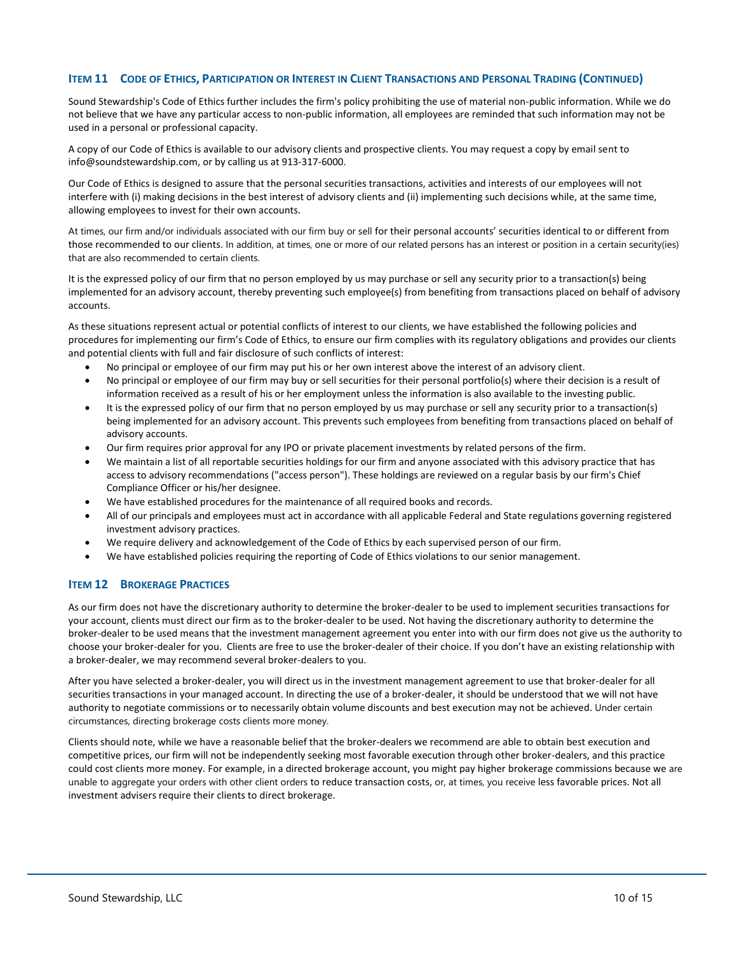## ITEM 11 CODE OF ETHICS, PARTICIPATION OR INTEREST IN CLIENT TRANSACTIONS AND PERSONAL TRADING (CONTINUED)

Sound Stewardship's Code of Ethics further includes the firm's policy prohibiting the use of material non-public information. While we do not believe that we have any particular access to non-public information, all employees are reminded that such information may not be used in a personal or professional capacity.

A copy of our Code of Ethics is available to our advisory clients and prospective clients. You may request a copy by email sent to info@soundstewardship.com, or by calling us at 913-317-6000.

Our Code of Ethics is designed to assure that the personal securities transactions, activities and interests of our employees will not interfere with (i) making decisions in the best interest of advisory clients and (ii) implementing such decisions while, at the same time, allowing employees to invest for their own accounts.

At times, our firm and/or individuals associated with our firm buy or sell for their personal accounts' securities identical to or different from those recommended to our clients. In addition, at times, one or more of our related persons has an interest or position in a certain security(ies) that are also recommended to certain clients.

It is the expressed policy of our firm that no person employed by us may purchase or sell any security prior to a transaction(s) being implemented for an advisory account, thereby preventing such employee(s) from benefiting from transactions placed on behalf of advisory accounts.

As these situations represent actual or potential conflicts of interest to our clients, we have established the following policies and procedures for implementing our firm's Code of Ethics, to ensure our firm complies with its regulatory obligations and provides our clients and potential clients with full and fair disclosure of such conflicts of interest:

- No principal or employee of our firm may put his or her own interest above the interest of an advisory client.
- No principal or employee of our firm may buy or sell securities for their personal portfolio(s) where their decision is a result of information received as a result of his or her employment unless the information is also available to the investing public.
- It is the expressed policy of our firm that no person employed by us may purchase or sell any security prior to a transaction(s) being implemented for an advisory account. This prevents such employees from benefiting from transactions placed on behalf of advisory accounts.
- Our firm requires prior approval for any IPO or private placement investments by related persons of the firm.
- We maintain a list of all reportable securities holdings for our firm and anyone associated with this advisory practice that has access to advisory recommendations ("access person"). These holdings are reviewed on a regular basis by our firm's Chief Compliance Officer or his/her designee.
- We have established procedures for the maintenance of all required books and records.
- All of our principals and employees must act in accordance with all applicable Federal and State regulations governing registered investment advisory practices.
- We require delivery and acknowledgement of the Code of Ethics by each supervised person of our firm.
- We have established policies requiring the reporting of Code of Ethics violations to our senior management.

## <span id="page-9-0"></span>**ITEM 12 BROKERAGE PRACTICES**

As our firm does not have the discretionary authority to determine the broker-dealer to be used to implement securities transactions for your account, clients must direct our firm as to the broker-dealer to be used. Not having the discretionary authority to determine the broker-dealer to be used means that the investment management agreement you enter into with our firm does not give us the authority to choose your broker-dealer for you. Clients are free to use the broker-dealer of their choice. If you don't have an existing relationship with a broker-dealer, we may recommend several broker-dealers to you.

After you have selected a broker-dealer, you will direct us in the investment management agreement to use that broker-dealer for all securities transactions in your managed account. In directing the use of a broker-dealer, it should be understood that we will not have authority to negotiate commissions or to necessarily obtain volume discounts and best execution may not be achieved. Under certain circumstances, directing brokerage costs clients more money.

Clients should note, while we have a reasonable belief that the broker-dealers we recommend are able to obtain best execution and competitive prices, our firm will not be independently seeking most favorable execution through other broker-dealers, and this practice could cost clients more money. For example, in a directed brokerage account, you might pay higher brokerage commissions because we are unable to aggregate your orders with other client orders to reduce transaction costs, or, at times, you receive less favorable prices. Not all investment advisers require their clients to direct brokerage.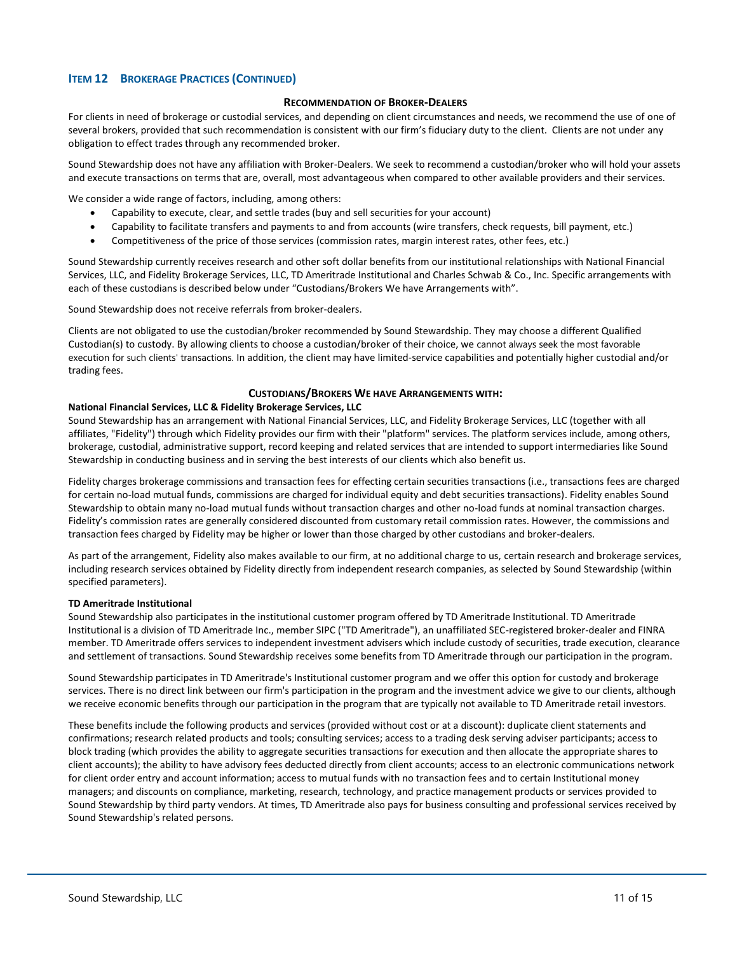# **ITEM 12 BROKERAGE PRACTICES (CONTINUED)**

## **RECOMMENDATION OF BROKER-DEALERS**

For clients in need of brokerage or custodial services, and depending on client circumstances and needs, we recommend the use of one of several brokers, provided that such recommendation is consistent with our firm's fiduciary duty to the client. Clients are not under any obligation to effect trades through any recommended broker.

Sound Stewardship does not have any affiliation with Broker-Dealers. We seek to recommend a custodian/broker who will hold your assets and execute transactions on terms that are, overall, most advantageous when compared to other available providers and their services.

We consider a wide range of factors, including, among others:

- Capability to execute, clear, and settle trades (buy and sell securities for your account)
- Capability to facilitate transfers and payments to and from accounts (wire transfers, check requests, bill payment, etc.)
- Competitiveness of the price of those services (commission rates, margin interest rates, other fees, etc.)

Sound Stewardship currently receives research and other soft dollar benefits from our institutional relationships with National Financial Services, LLC, and Fidelity Brokerage Services, LLC, TD Ameritrade Institutional and Charles Schwab & Co., Inc. Specific arrangements with each of these custodians is described below under "Custodians/Brokers We have Arrangements with".

Sound Stewardship does not receive referrals from broker-dealers.

Clients are not obligated to use the custodian/broker recommended by Sound Stewardship. They may choose a different Qualified Custodian(s) to custody. By allowing clients to choose a custodian/broker of their choice, we cannot always seek the most favorable execution for such clients' transactions. In addition, the client may have limited-service capabilities and potentially higher custodial and/or trading fees.

#### **CUSTODIANS/BROKERS WE HAVE ARRANGEMENTS WITH:**

#### **National Financial Services, LLC & Fidelity Brokerage Services, LLC**

Sound Stewardship has an arrangement with National Financial Services, LLC, and Fidelity Brokerage Services, LLC (together with all affiliates, "Fidelity") through which Fidelity provides our firm with their "platform" services. The platform services include, among others, brokerage, custodial, administrative support, record keeping and related services that are intended to support intermediaries like Sound Stewardship in conducting business and in serving the best interests of our clients which also benefit us.

Fidelity charges brokerage commissions and transaction fees for effecting certain securities transactions (i.e., transactions fees are charged for certain no-load mutual funds, commissions are charged for individual equity and debt securities transactions). Fidelity enables Sound Stewardship to obtain many no-load mutual funds without transaction charges and other no-load funds at nominal transaction charges. Fidelity's commission rates are generally considered discounted from customary retail commission rates. However, the commissions and transaction fees charged by Fidelity may be higher or lower than those charged by other custodians and broker-dealers.

As part of the arrangement, Fidelity also makes available to our firm, at no additional charge to us, certain research and brokerage services, including research services obtained by Fidelity directly from independent research companies, as selected by Sound Stewardship (within specified parameters).

#### **TD Ameritrade Institutional**

Sound Stewardship also participates in the institutional customer program offered by TD Ameritrade Institutional. TD Ameritrade Institutional is a division of TD Ameritrade Inc., member SIPC ("TD Ameritrade"), an unaffiliated SEC-registered broker-dealer and FINRA member. TD Ameritrade offers services to independent investment advisers which include custody of securities, trade execution, clearance and settlement of transactions. Sound Stewardship receives some benefits from TD Ameritrade through our participation in the program.

Sound Stewardship participates in TD Ameritrade's Institutional customer program and we offer this option for custody and brokerage services. There is no direct link between our firm's participation in the program and the investment advice we give to our clients, although we receive economic benefits through our participation in the program that are typically not available to TD Ameritrade retail investors.

These benefits include the following products and services (provided without cost or at a discount): duplicate client statements and confirmations; research related products and tools; consulting services; access to a trading desk serving adviser participants; access to block trading (which provides the ability to aggregate securities transactions for execution and then allocate the appropriate shares to client accounts); the ability to have advisory fees deducted directly from client accounts; access to an electronic communications network for client order entry and account information; access to mutual funds with no transaction fees and to certain Institutional money managers; and discounts on compliance, marketing, research, technology, and practice management products or services provided to Sound Stewardship by third party vendors. At times, TD Ameritrade also pays for business consulting and professional services received by Sound Stewardship's related persons.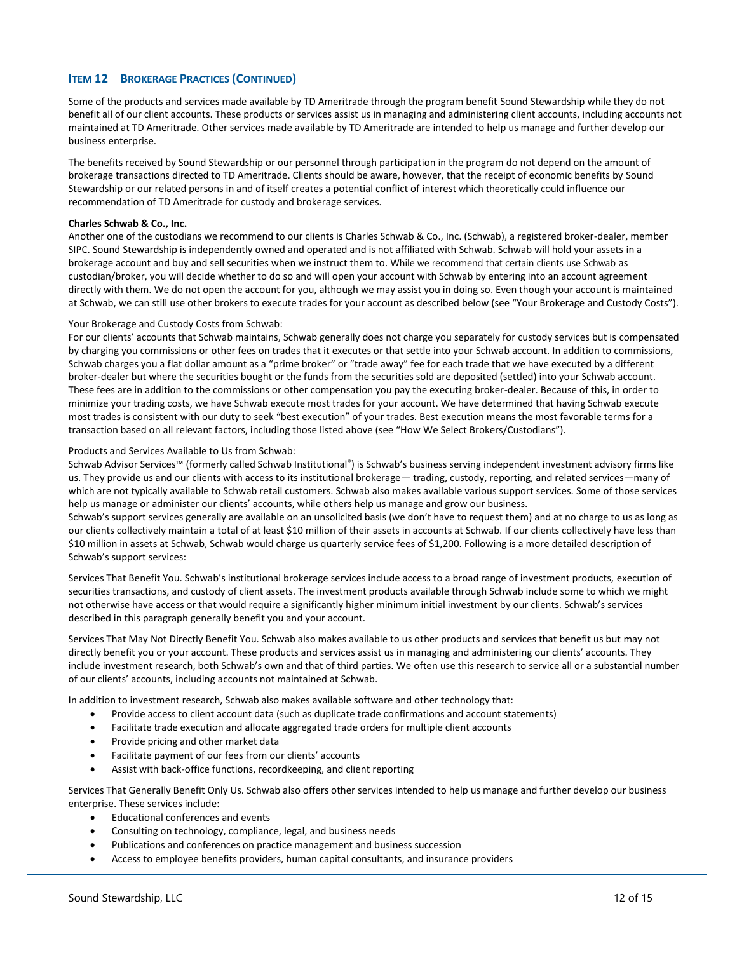# **ITEM 12 BROKERAGE PRACTICES (CONTINUED)**

Some of the products and services made available by TD Ameritrade through the program benefit Sound Stewardship while they do not benefit all of our client accounts. These products or services assist us in managing and administering client accounts, including accounts not maintained at TD Ameritrade. Other services made available by TD Ameritrade are intended to help us manage and further develop our business enterprise.

The benefits received by Sound Stewardship or our personnel through participation in the program do not depend on the amount of brokerage transactions directed to TD Ameritrade. Clients should be aware, however, that the receipt of economic benefits by Sound Stewardship or our related persons in and of itself creates a potential conflict of interest which theoretically could influence our recommendation of TD Ameritrade for custody and brokerage services.

#### **Charles Schwab & Co., Inc.**

Another one of the custodians we recommend to our clients is Charles Schwab & Co., Inc. (Schwab), a registered broker-dealer, member SIPC. Sound Stewardship is independently owned and operated and is not affiliated with Schwab. Schwab will hold your assets in a brokerage account and buy and sell securities when we instruct them to. While we recommend that certain clients use Schwab as custodian/broker, you will decide whether to do so and will open your account with Schwab by entering into an account agreement directly with them. We do not open the account for you, although we may assist you in doing so. Even though your account is maintained at Schwab, we can still use other brokers to execute trades for your account as described below (see "Your Brokerage and Custody Costs").

#### Your Brokerage and Custody Costs from Schwab:

For our clients' accounts that Schwab maintains, Schwab generally does not charge you separately for custody services but is compensated by charging you commissions or other fees on trades that it executes or that settle into your Schwab account. In addition to commissions, Schwab charges you a flat dollar amount as a "prime broker" or "trade away" fee for each trade that we have executed by a different broker-dealer but where the securities bought or the funds from the securities sold are deposited (settled) into your Schwab account. These fees are in addition to the commissions or other compensation you pay the executing broker-dealer. Because of this, in order to minimize your trading costs, we have Schwab execute most trades for your account. We have determined that having Schwab execute most trades is consistent with our duty to seek "best execution" of your trades. Best execution means the most favorable terms for a transaction based on all relevant factors, including those listed above (see "How We Select Brokers/Custodians").

#### Products and Services Available to Us from Schwab:

Schwab Advisor Services™ (formerly called Schwab Institutional®) is Schwab's business serving independent investment advisory firms like us. They provide us and our clients with access to its institutional brokerage— trading, custody, reporting, and related services—many of which are not typically available to Schwab retail customers. Schwab also makes available various support services. Some of those services help us manage or administer our clients' accounts, while others help us manage and grow our business.

Schwab's support services generally are available on an unsolicited basis (we don't have to request them) and at no charge to us as long as our clients collectively maintain a total of at least \$10 million of their assets in accounts at Schwab. If our clients collectively have less than \$10 million in assets at Schwab, Schwab would charge us quarterly service fees of \$1,200. Following is a more detailed description of Schwab's support services:

Services That Benefit You. Schwab's institutional brokerage services include access to a broad range of investment products, execution of securities transactions, and custody of client assets. The investment products available through Schwab include some to which we might not otherwise have access or that would require a significantly higher minimum initial investment by our clients. Schwab's services described in this paragraph generally benefit you and your account.

Services That May Not Directly Benefit You. Schwab also makes available to us other products and services that benefit us but may not directly benefit you or your account. These products and services assist us in managing and administering our clients' accounts. They include investment research, both Schwab's own and that of third parties. We often use this research to service all or a substantial number of our clients' accounts, including accounts not maintained at Schwab.

In addition to investment research, Schwab also makes available software and other technology that:

- Provide access to client account data (such as duplicate trade confirmations and account statements)
- Facilitate trade execution and allocate aggregated trade orders for multiple client accounts
- Provide pricing and other market data
- Facilitate payment of our fees from our clients' accounts
- Assist with back-office functions, recordkeeping, and client reporting

Services That Generally Benefit Only Us. Schwab also offers other services intended to help us manage and further develop our business enterprise. These services include:

- Educational conferences and events
- Consulting on technology, compliance, legal, and business needs
- Publications and conferences on practice management and business succession
- Access to employee benefits providers, human capital consultants, and insurance providers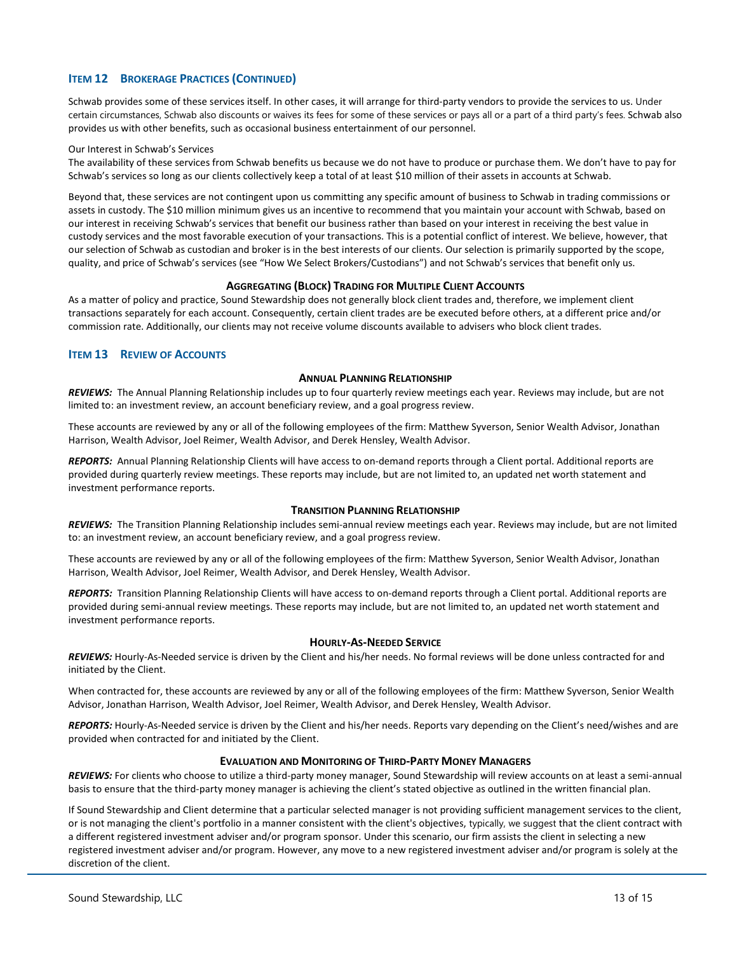# **ITEM 12 BROKERAGE PRACTICES (CONTINUED)**

Schwab provides some of these services itself. In other cases, it will arrange for third-party vendors to provide the services to us. Under certain circumstances, Schwab also discounts or waives its fees for some of these services or pays all or a part of a third party's fees. Schwab also provides us with other benefits, such as occasional business entertainment of our personnel.

#### Our Interest in Schwab's Services

The availability of these services from Schwab benefits us because we do not have to produce or purchase them. We don't have to pay for Schwab's services so long as our clients collectively keep a total of at least \$10 million of their assets in accounts at Schwab.

Beyond that, these services are not contingent upon us committing any specific amount of business to Schwab in trading commissions or assets in custody. The \$10 million minimum gives us an incentive to recommend that you maintain your account with Schwab, based on our interest in receiving Schwab's services that benefit our business rather than based on your interest in receiving the best value in custody services and the most favorable execution of your transactions. This is a potential conflict of interest. We believe, however, that our selection of Schwab as custodian and broker is in the best interests of our clients. Our selection is primarily supported by the scope, quality, and price of Schwab's services (see "How We Select Brokers/Custodians") and not Schwab's services that benefit only us.

## **AGGREGATING (BLOCK) TRADING FOR MULTIPLE CLIENT ACCOUNTS**

As a matter of policy and practice, Sound Stewardship does not generally block client trades and, therefore, we implement client transactions separately for each account. Consequently, certain client trades are be executed before others, at a different price and/or commission rate. Additionally, our clients may not receive volume discounts available to advisers who block client trades.

## <span id="page-12-0"></span>**ITEM 13 REVIEW OF ACCOUNTS**

#### **ANNUAL PLANNING RELATIONSHIP**

*REVIEWS:* The Annual Planning Relationship includes up to four quarterly review meetings each year. Reviews may include, but are not limited to: an investment review, an account beneficiary review, and a goal progress review.

These accounts are reviewed by any or all of the following employees of the firm: Matthew Syverson, Senior Wealth Advisor, Jonathan Harrison, Wealth Advisor, Joel Reimer, Wealth Advisor, and Derek Hensley, Wealth Advisor.

*REPORTS:* Annual Planning Relationship Clients will have access to on-demand reports through a Client portal. Additional reports are provided during quarterly review meetings. These reports may include, but are not limited to, an updated net worth statement and investment performance reports.

#### **TRANSITION PLANNING RELATIONSHIP**

*REVIEWS:* The Transition Planning Relationship includes semi-annual review meetings each year. Reviews may include, but are not limited to: an investment review, an account beneficiary review, and a goal progress review.

These accounts are reviewed by any or all of the following employees of the firm: Matthew Syverson, Senior Wealth Advisor, Jonathan Harrison, Wealth Advisor, Joel Reimer, Wealth Advisor, and Derek Hensley, Wealth Advisor.

*REPORTS:* Transition Planning Relationship Clients will have access to on-demand reports through a Client portal. Additional reports are provided during semi-annual review meetings. These reports may include, but are not limited to, an updated net worth statement and investment performance reports.

## **HOURLY-AS-NEEDED SERVICE**

*REVIEWS:* Hourly-As-Needed service is driven by the Client and his/her needs. No formal reviews will be done unless contracted for and initiated by the Client.

When contracted for, these accounts are reviewed by any or all of the following employees of the firm: Matthew Syverson, Senior Wealth Advisor, Jonathan Harrison, Wealth Advisor, Joel Reimer, Wealth Advisor, and Derek Hensley, Wealth Advisor.

REPORTS: Hourly-As-Needed service is driven by the Client and his/her needs. Reports vary depending on the Client's need/wishes and are provided when contracted for and initiated by the Client.

## **EVALUATION AND MONITORING OF THIRD-PARTY MONEY MANAGERS**

*REVIEWS:* For clients who choose to utilize a third-party money manager, Sound Stewardship will review accounts on at least a semi-annual basis to ensure that the third-party money manager is achieving the client's stated objective as outlined in the written financial plan.

If Sound Stewardship and Client determine that a particular selected manager is not providing sufficient management services to the client, or is not managing the client's portfolio in a manner consistent with the client's objectives, typically, we suggest that the client contract with a different registered investment adviser and/or program sponsor. Under this scenario, our firm assists the client in selecting a new registered investment adviser and/or program. However, any move to a new registered investment adviser and/or program is solely at the discretion of the client.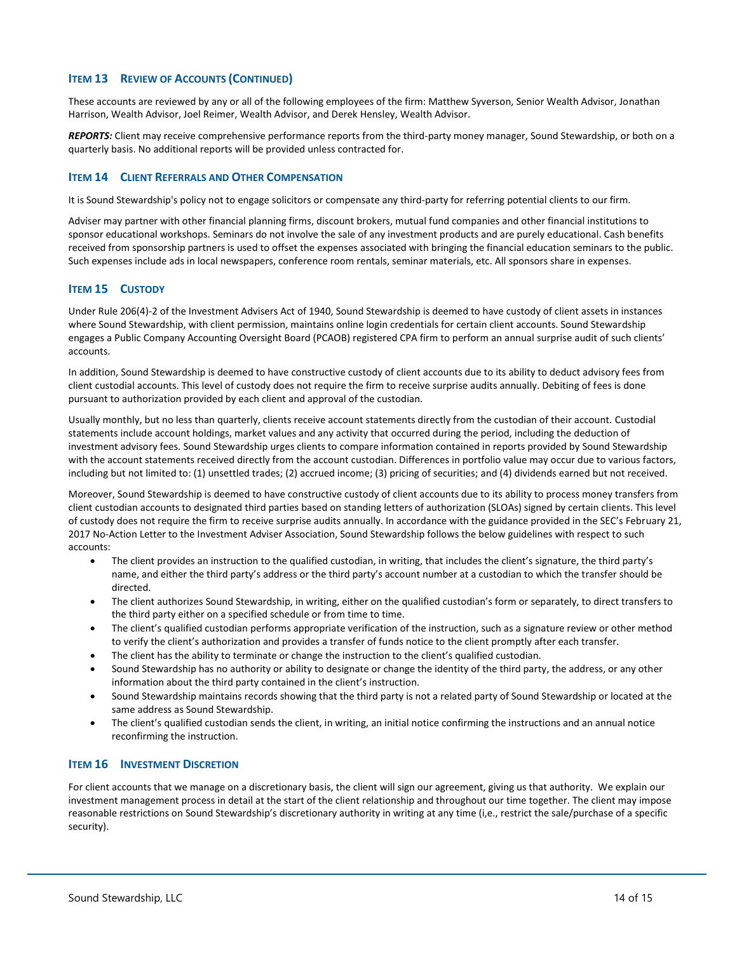# **ITEM 13 REVIEW OF ACCOUNTS (CONTINUED)**

These accounts are reviewed by any or all of the following employees of the firm: Matthew Syverson, Senior Wealth Advisor, Jonathan Harrison, Wealth Advisor, Joel Reimer, Wealth Advisor, and Derek Hensley, Wealth Advisor.

*REPORTS:* Client may receive comprehensive performance reports from the third-party money manager, Sound Stewardship, or both on a quarterly basis. No additional reports will be provided unless contracted for.

#### <span id="page-13-0"></span>**ITEM 14 CLIENT REFERRALS AND OTHER COMPENSATION**

It is Sound Stewardship's policy not to engage solicitors or compensate any third-party for referring potential clients to our firm.

Adviser may partner with other financial planning firms, discount brokers, mutual fund companies and other financial institutions to sponsor educational workshops. Seminars do not involve the sale of any investment products and are purely educational. Cash benefits received from sponsorship partners is used to offset the expenses associated with bringing the financial education seminars to the public. Such expenses include ads in local newspapers, conference room rentals, seminar materials, etc. All sponsors share in expenses.

#### <span id="page-13-1"></span>**ITEM 15 CUSTODY**

Under Rule 206(4)-2 of the Investment Advisers Act of 1940, Sound Stewardship is deemed to have custody of client assets in instances where Sound Stewardship, with client permission, maintains online login credentials for certain client accounts. Sound Stewardship engages a Public Company Accounting Oversight Board (PCAOB) registered CPA firm to perform an annual surprise audit of such clients' accounts.

In addition, Sound Stewardship is deemed to have constructive custody of client accounts due to its ability to deduct advisory fees from client custodial accounts. This level of custody does not require the firm to receive surprise audits annually. Debiting of fees is done pursuant to authorization provided by each client and approval of the custodian.

Usually monthly, but no less than quarterly, clients receive account statements directly from the custodian of their account. Custodial statements include account holdings, market values and any activity that occurred during the period, including the deduction of investment advisory fees. Sound Stewardship urges clients to compare information contained in reports provided by Sound Stewardship with the account statements received directly from the account custodian. Differences in portfolio value may occur due to various factors, including but not limited to: (1) unsettled trades; (2) accrued income; (3) pricing of securities; and (4) dividends earned but not received.

Moreover, Sound Stewardship is deemed to have constructive custody of client accounts due to its ability to process money transfers from client custodian accounts to designated third parties based on standing letters of authorization (SLOAs) signed by certain clients. This level of custody does not require the firm to receive surprise audits annually. In accordance with the guidance provided in the SEC's February 21, 2017 No-Action Letter to the Investment Adviser Association, Sound Stewardship follows the below guidelines with respect to such accounts:

- The client provides an instruction to the qualified custodian, in writing, that includes the client's signature, the third party's name, and either the third party's address or the third party's account number at a custodian to which the transfer should be directed.
- The client authorizes Sound Stewardship, in writing, either on the qualified custodian's form or separately, to direct transfers to the third party either on a specified schedule or from time to time.
- The client's qualified custodian performs appropriate verification of the instruction, such as a signature review or other method to verify the client's authorization and provides a transfer of funds notice to the client promptly after each transfer.
- The client has the ability to terminate or change the instruction to the client's qualified custodian.
- Sound Stewardship has no authority or ability to designate or change the identity of the third party, the address, or any other information about the third party contained in the client's instruction.
- Sound Stewardship maintains records showing that the third party is not a related party of Sound Stewardship or located at the same address as Sound Stewardship.
- The client's qualified custodian sends the client, in writing, an initial notice confirming the instructions and an annual notice reconfirming the instruction.

## <span id="page-13-2"></span>**ITEM 16 INVESTMENT DISCRETION**

For client accounts that we manage on a discretionary basis, the client will sign our agreement, giving us that authority. We explain our investment management process in detail at the start of the client relationship and throughout our time together. The client may impose reasonable restrictions on Sound Stewardship's discretionary authority in writing at any time (i,e., restrict the sale/purchase of a specific security).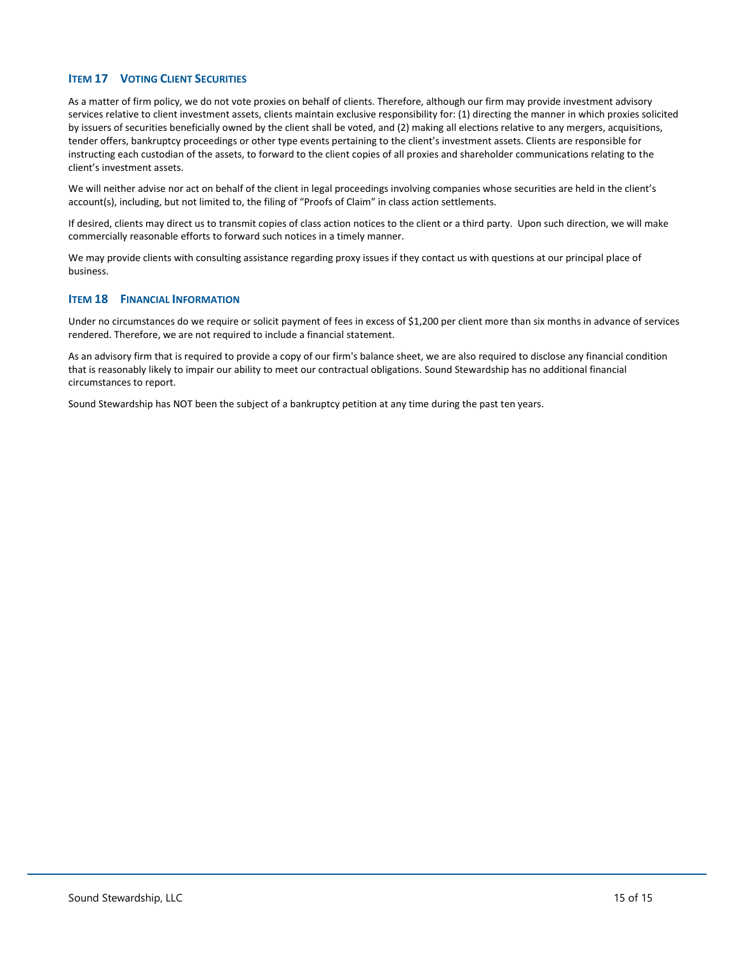# <span id="page-14-0"></span>**ITEM 17 VOTING CLIENT SECURITIES**

As a matter of firm policy, we do not vote proxies on behalf of clients. Therefore, although our firm may provide investment advisory services relative to client investment assets, clients maintain exclusive responsibility for: (1) directing the manner in which proxies solicited by issuers of securities beneficially owned by the client shall be voted, and (2) making all elections relative to any mergers, acquisitions, tender offers, bankruptcy proceedings or other type events pertaining to the client's investment assets. Clients are responsible for instructing each custodian of the assets, to forward to the client copies of all proxies and shareholder communications relating to the client's investment assets.

We will neither advise nor act on behalf of the client in legal proceedings involving companies whose securities are held in the client's account(s), including, but not limited to, the filing of "Proofs of Claim" in class action settlements.

If desired, clients may direct us to transmit copies of class action notices to the client or a third party. Upon such direction, we will make commercially reasonable efforts to forward such notices in a timely manner.

We may provide clients with consulting assistance regarding proxy issues if they contact us with questions at our principal place of business.

#### <span id="page-14-1"></span>**ITEM 18 FINANCIAL INFORMATION**

Under no circumstances do we require or solicit payment of fees in excess of \$1,200 per client more than six months in advance of services rendered. Therefore, we are not required to include a financial statement.

As an advisory firm that is required to provide a copy of our firm's balance sheet, we are also required to disclose any financial condition that is reasonably likely to impair our ability to meet our contractual obligations. Sound Stewardship has no additional financial circumstances to report.

Sound Stewardship has NOT been the subject of a bankruptcy petition at any time during the past ten years.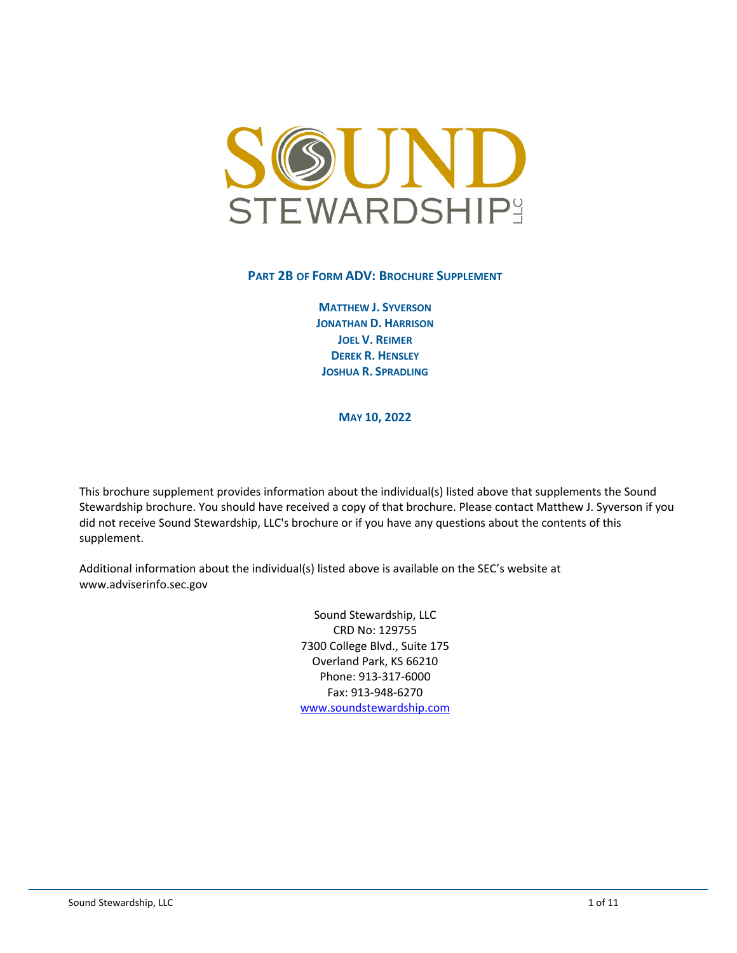

# **PART 2B OF FORM ADV: BROCHURE SUPPLEMENT**

**MATTHEW J. SYVERSON JONATHAN D. HARRISON JOEL V. REIMER DEREK R. HENSLEY JOSHUA R. SPRADLING**

**MAY 10, 2022**

This brochure supplement provides information about the individual(s) listed above that supplements the Sound Stewardship brochure. You should have received a copy of that brochure. Please contact Matthew J. Syverson if you did not receive Sound Stewardship, LLC's brochure or if you have any questions about the contents of this supplement.

Additional information about the individual(s) listed above is available on the SEC's website at www.adviserinfo.sec.gov

> Sound Stewardship, LLC CRD No: 129755 7300 College Blvd., Suite 175 Overland Park, KS 66210 Phone: 913-317-6000 Fax: 913-948-6270 [www.soundstewardship.com](http://www.soundstewardship.com/)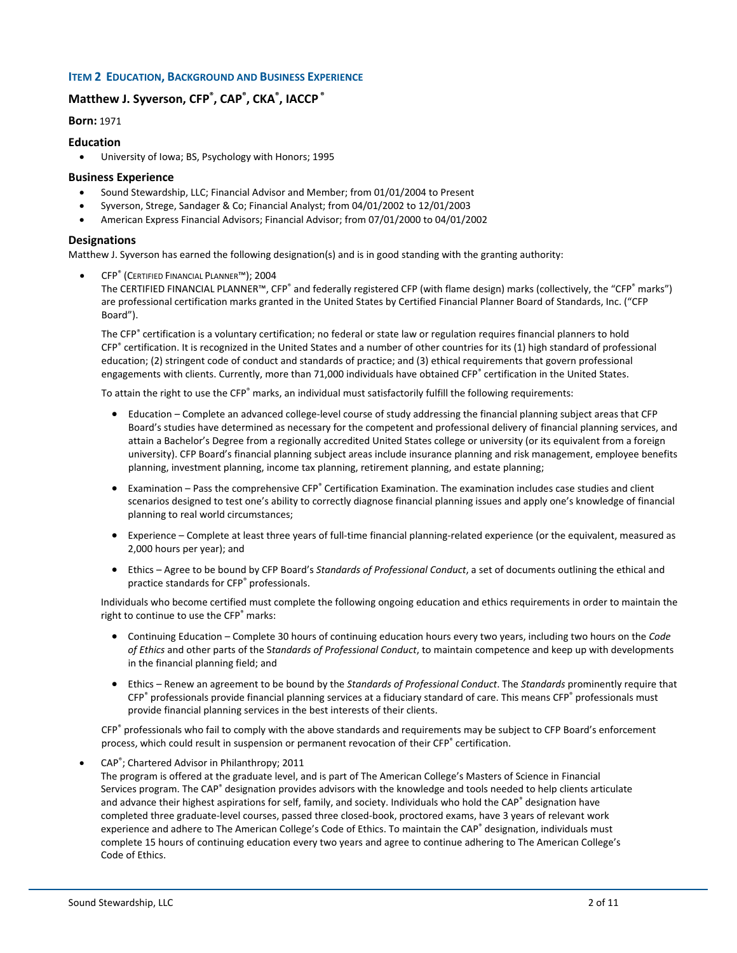## **ITEM 2 EDUCATION, BACKGROUND AND BUSINESS EXPERIENCE**

# **Matthew J. Syverson, CFP® , CAP® , CKA® , IACCP ®**

**Born:** 1971

#### **Education**

• University of Iowa; BS, Psychology with Honors; 1995

#### **Business Experience**

- Sound Stewardship, LLC; Financial Advisor and Member; from 01/01/2004 to Present
- Syverson, Strege, Sandager & Co; Financial Analyst; from 04/01/2002 to 12/01/2003
- American Express Financial Advisors; Financial Advisor; from 07/01/2000 to 04/01/2002

#### **Designations**

Matthew J. Syverson has earned the following designation(s) and is in good standing with the granting authority:

• CFP® (CERTIFIED FINANCIAL PLANNER™); 2004

The CERTIFIED FINANCIAL PLANNER™, CFP® and federally registered CFP (with flame design) marks (collectively, the "CFP® marks") are professional certification marks granted in the United States by Certified Financial Planner Board of Standards, Inc. ("CFP Board").

The CFP® certification is a voluntary certification; no federal or state law or regulation requires financial planners to hold CFP® certification. It is recognized in the United States and a number of other countries for its (1) high standard of professional education; (2) stringent code of conduct and standards of practice; and (3) ethical requirements that govern professional engagements with clients. Currently, more than 71,000 individuals have obtained CFP® certification in the United States.

To attain the right to use the CFP® marks, an individual must satisfactorily fulfill the following requirements:

- Education Complete an advanced college-level course of study addressing the financial planning subject areas that CFP Board's studies have determined as necessary for the competent and professional delivery of financial planning services, and attain a Bachelor's Degree from a regionally accredited United States college or university (or its equivalent from a foreign university). CFP Board's financial planning subject areas include insurance planning and risk management, employee benefits planning, investment planning, income tax planning, retirement planning, and estate planning;
- Examination Pass the comprehensive CFP® Certification Examination. The examination includes case studies and client scenarios designed to test one's ability to correctly diagnose financial planning issues and apply one's knowledge of financial planning to real world circumstances;
- Experience Complete at least three years of full-time financial planning-related experience (or the equivalent, measured as 2,000 hours per year); and
- Ethics Agree to be bound by CFP Board's *Standards of Professional Conduct*, a set of documents outlining the ethical and practice standards for CFP® professionals.

Individuals who become certified must complete the following ongoing education and ethics requirements in order to maintain the right to continue to use the CFP<sup>®</sup> marks:

- Continuing Education Complete 30 hours of continuing education hours every two years, including two hours on the *Code of Ethics* and other parts of the S*tandards of Professional Conduct*, to maintain competence and keep up with developments in the financial planning field; and
- Ethics Renew an agreement to be bound by the *Standards of Professional Conduct*. The *Standards* prominently require that CFP® professionals provide financial planning services at a fiduciary standard of care. This means CFP® professionals must provide financial planning services in the best interests of their clients.

CFP® professionals who fail to comply with the above standards and requirements may be subject to CFP Board's enforcement process, which could result in suspension or permanent revocation of their CFP® certification.

• CAP®; Chartered Advisor in Philanthropy; 2011

The program is offered at the graduate level, and is part of The American College's Masters of Science in Financial Services program. The CAP® designation provides advisors with the knowledge and tools needed to help clients articulate and advance their highest aspirations for self, family, and society. Individuals who hold the CAP® designation have completed three graduate-level courses, passed three closed-book, proctored exams, have 3 years of relevant work experience and adhere to The American College's Code of Ethics. To maintain the CAP® designation, individuals must complete 15 hours of continuing education every two years and agree to continue adhering to The American College's Code of Ethics.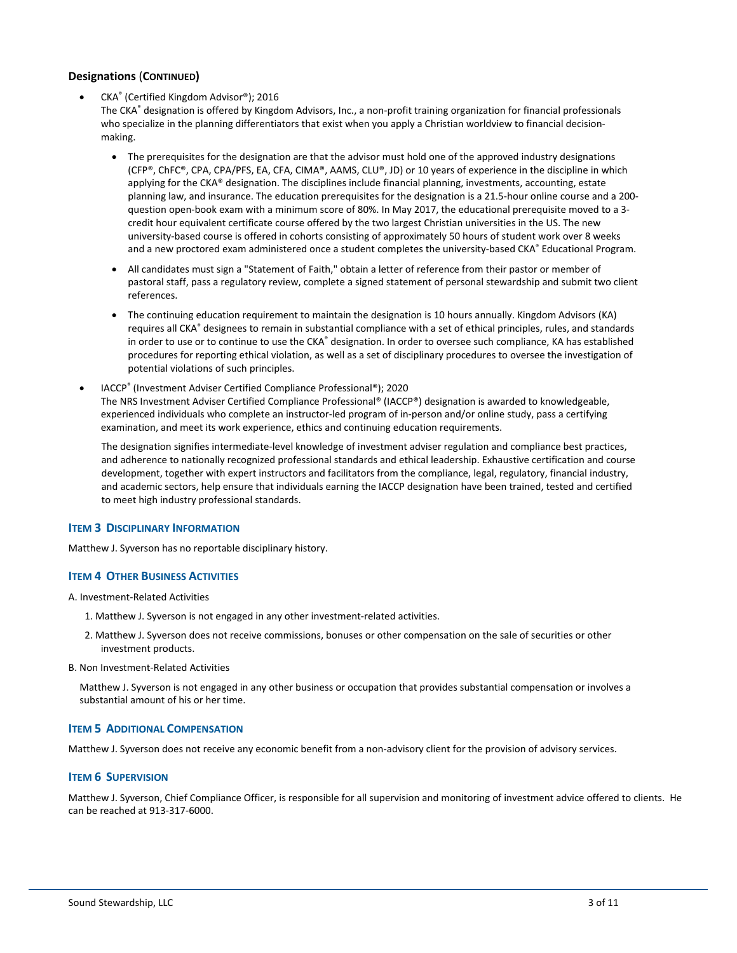# **Designations** (**CONTINUED)**

• CKA® (Certified Kingdom Advisor®); 2016

The CKA® designation is offered by Kingdom Advisors, Inc., a non-profit training organization for financial professionals who specialize in the planning differentiators that exist when you apply a Christian worldview to financial decisionmaking.

- The prerequisites for the designation are that the advisor must hold one of the approved industry designations (CFP®, ChFC®, CPA, CPA/PFS, EA, CFA, CIMA®, AAMS, CLU®, JD) or 10 years of experience in the discipline in which applying for the CKA® designation. The disciplines include financial planning, investments, accounting, estate planning law, and insurance. The education prerequisites for the designation is a 21.5-hour online course and a 200 question open-book exam with a minimum score of 80%. In May 2017, the educational prerequisite moved to a 3 credit hour equivalent certificate course offered by the two largest Christian universities in the US. The new university-based course is offered in cohorts consisting of approximately 50 hours of student work over 8 weeks and a new proctored exam administered once a student completes the university-based CKA® Educational Program.
- All candidates must sign a "Statement of Faith," obtain a letter of reference from their pastor or member of pastoral staff, pass a regulatory review, complete a signed statement of personal stewardship and submit two client references.
- The continuing education requirement to maintain the designation is 10 hours annually. Kingdom Advisors (KA) requires all CKA® designees to remain in substantial compliance with a set of ethical principles, rules, and standards in order to use or to continue to use the CKA® designation. In order to oversee such compliance, KA has established procedures for reporting ethical violation, as well as a set of disciplinary procedures to oversee the investigation of potential violations of such principles.
- IACCP® (Investment Adviser Certified Compliance Professional®); 2020 The NRS Investment Adviser Certified Compliance Professional® (IACCP®) designation is awarded to knowledgeable, experienced individuals who complete an instructor-led program of in-person and/or online study, pass a certifying examination, and meet its work experience, ethics and continuing education requirements.

The designation signifies intermediate-level knowledge of investment adviser regulation and compliance best practices, and adherence to nationally recognized professional standards and ethical leadership. Exhaustive certification and course development, together with expert instructors and facilitators from the compliance, legal, regulatory, financial industry, and academic sectors, help ensure that individuals earning the IACCP designation have been trained, tested and certified to meet high industry professional standards.

## **ITEM 3 DISCIPLINARY INFORMATION**

Matthew J. Syverson has no reportable disciplinary history.

#### **ITEM 4 OTHER BUSINESS ACTIVITIES**

A. Investment-Related Activities

- 1. Matthew J. Syverson is not engaged in any other investment-related activities.
- 2. Matthew J. Syverson does not receive commissions, bonuses or other compensation on the sale of securities or other investment products.
- B. Non Investment-Related Activities

Matthew J. Syverson is not engaged in any other business or occupation that provides substantial compensation or involves a substantial amount of his or her time.

## **ITEM 5 ADDITIONAL COMPENSATION**

Matthew J. Syverson does not receive any economic benefit from a non-advisory client for the provision of advisory services.

## **ITEM 6 SUPERVISION**

Matthew J. Syverson, Chief Compliance Officer, is responsible for all supervision and monitoring of investment advice offered to clients. He can be reached at 913-317-6000.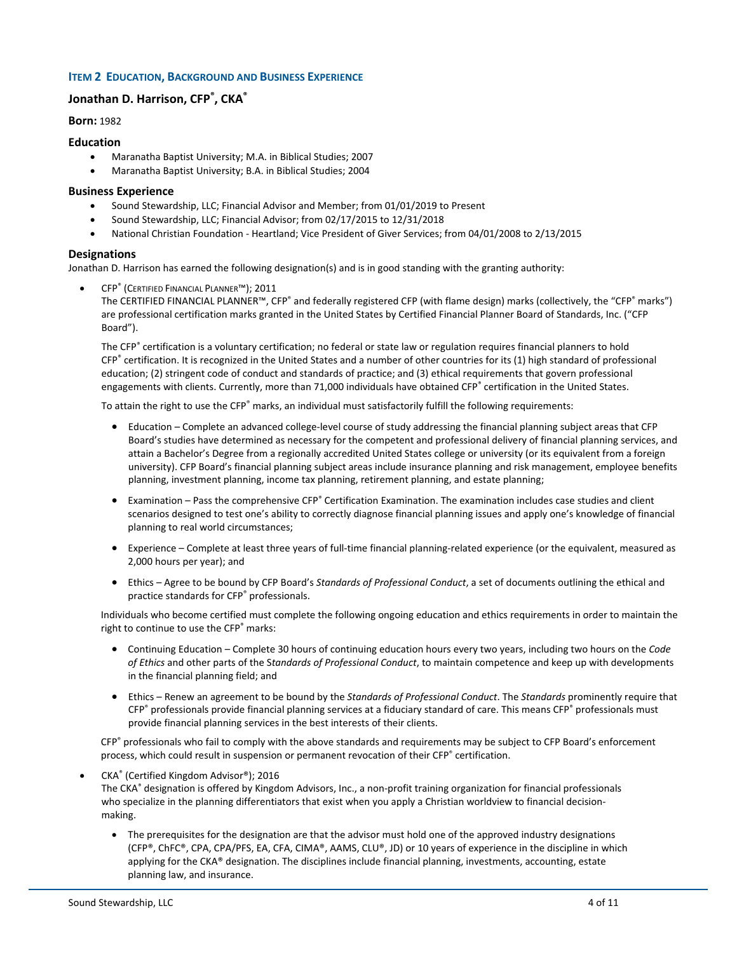## **ITEM 2 EDUCATION, BACKGROUND AND BUSINESS EXPERIENCE**

# **Jonathan D. Harrison, CFP® , CKA®**

**Born:** 1982

#### **Education**

- Maranatha Baptist University; M.A. in Biblical Studies; 2007
- Maranatha Baptist University; B.A. in Biblical Studies; 2004

#### **Business Experience**

- Sound Stewardship, LLC; Financial Advisor and Member; from 01/01/2019 to Present
- Sound Stewardship, LLC; Financial Advisor; from 02/17/2015 to 12/31/2018
- National Christian Foundation Heartland; Vice President of Giver Services; from 04/01/2008 to 2/13/2015

## **Designations**

Jonathan D. Harrison has earned the following designation(s) and is in good standing with the granting authority:

• CFP® (CERTIFIED FINANCIAL PLANNER™); 2011

The CERTIFIED FINANCIAL PLANNER™, CFP® and federally registered CFP (with flame design) marks (collectively, the "CFP® marks") are professional certification marks granted in the United States by Certified Financial Planner Board of Standards, Inc. ("CFP Board").

The CFP<sup>®</sup> certification is a voluntary certification; no federal or state law or regulation requires financial planners to hold CFP® certification. It is recognized in the United States and a number of other countries for its (1) high standard of professional education; (2) stringent code of conduct and standards of practice; and (3) ethical requirements that govern professional engagements with clients. Currently, more than 71,000 individuals have obtained CFP® certification in the United States.

To attain the right to use the CFP® marks, an individual must satisfactorily fulfill the following requirements:

- Education Complete an advanced college-level course of study addressing the financial planning subject areas that CFP Board's studies have determined as necessary for the competent and professional delivery of financial planning services, and attain a Bachelor's Degree from a regionally accredited United States college or university (or its equivalent from a foreign university). CFP Board's financial planning subject areas include insurance planning and risk management, employee benefits planning, investment planning, income tax planning, retirement planning, and estate planning;
- Examination Pass the comprehensive CFP<sup>®</sup> Certification Examination. The examination includes case studies and client scenarios designed to test one's ability to correctly diagnose financial planning issues and apply one's knowledge of financial planning to real world circumstances;
- Experience Complete at least three years of full-time financial planning-related experience (or the equivalent, measured as 2,000 hours per year); and
- Ethics Agree to be bound by CFP Board's *Standards of Professional Conduct*, a set of documents outlining the ethical and practice standards for CFP<sup>®</sup> professionals.

Individuals who become certified must complete the following ongoing education and ethics requirements in order to maintain the right to continue to use the CFP<sup>®</sup> marks:

- Continuing Education Complete 30 hours of continuing education hours every two years, including two hours on the *Code of Ethics* and other parts of the S*tandards of Professional Conduct*, to maintain competence and keep up with developments in the financial planning field; and
- Ethics Renew an agreement to be bound by the *Standards of Professional Conduct*. The *Standards* prominently require that CFP® professionals provide financial planning services at a fiduciary standard of care. This means CFP® professionals must provide financial planning services in the best interests of their clients.

CFP® professionals who fail to comply with the above standards and requirements may be subject to CFP Board's enforcement process, which could result in suspension or permanent revocation of their CFP® certification.

• CKA® (Certified Kingdom Advisor®); 2016

The CKA® designation is offered by Kingdom Advisors, Inc., a non-profit training organization for financial professionals who specialize in the planning differentiators that exist when you apply a Christian worldview to financial decisionmaking.

• The prerequisites for the designation are that the advisor must hold one of the approved industry designations (CFP®, ChFC®, CPA, CPA/PFS, EA, CFA, CIMA®, AAMS, CLU®, JD) or 10 years of experience in the discipline in which applying for the CKA® designation. The disciplines include financial planning, investments, accounting, estate planning law, and insurance.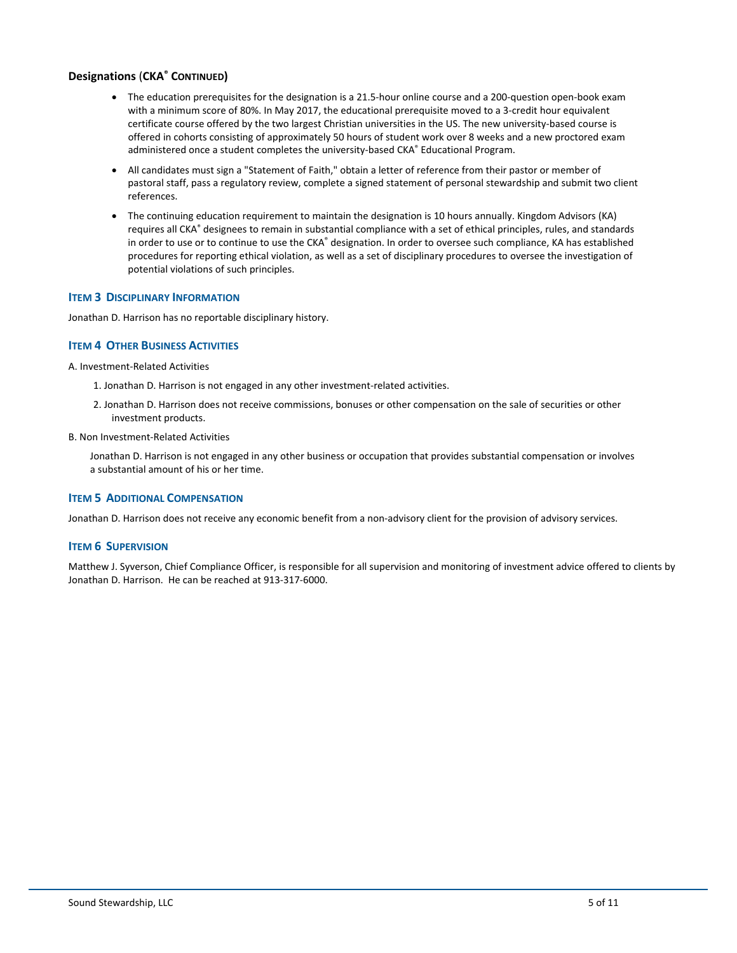# **Designations** (**CKA® CONTINUED)**

- The education prerequisites for the designation is a 21.5-hour online course and a 200-question open-book exam with a minimum score of 80%. In May 2017, the educational prerequisite moved to a 3-credit hour equivalent certificate course offered by the two largest Christian universities in the US. The new university-based course is offered in cohorts consisting of approximately 50 hours of student work over 8 weeks and a new proctored exam administered once a student completes the university-based CKA® Educational Program.
- All candidates must sign a "Statement of Faith," obtain a letter of reference from their pastor or member of pastoral staff, pass a regulatory review, complete a signed statement of personal stewardship and submit two client references.
- The continuing education requirement to maintain the designation is 10 hours annually. Kingdom Advisors (KA) requires all CKA<sup>®</sup> designees to remain in substantial compliance with a set of ethical principles, rules, and standards in order to use or to continue to use the CKA® designation. In order to oversee such compliance, KA has established procedures for reporting ethical violation, as well as a set of disciplinary procedures to oversee the investigation of potential violations of such principles.

## **ITEM 3 DISCIPLINARY INFORMATION**

Jonathan D. Harrison has no reportable disciplinary history.

# **ITEM 4 OTHER BUSINESS ACTIVITIES**

A. Investment-Related Activities

- 1. Jonathan D. Harrison is not engaged in any other investment-related activities.
- 2. Jonathan D. Harrison does not receive commissions, bonuses or other compensation on the sale of securities or other investment products.
- B. Non Investment-Related Activities

Jonathan D. Harrison is not engaged in any other business or occupation that provides substantial compensation or involves a substantial amount of his or her time.

## **ITEM 5 ADDITIONAL COMPENSATION**

Jonathan D. Harrison does not receive any economic benefit from a non-advisory client for the provision of advisory services.

## **ITEM 6 SUPERVISION**

Matthew J. Syverson, Chief Compliance Officer, is responsible for all supervision and monitoring of investment advice offered to clients by Jonathan D. Harrison. He can be reached at 913-317-6000.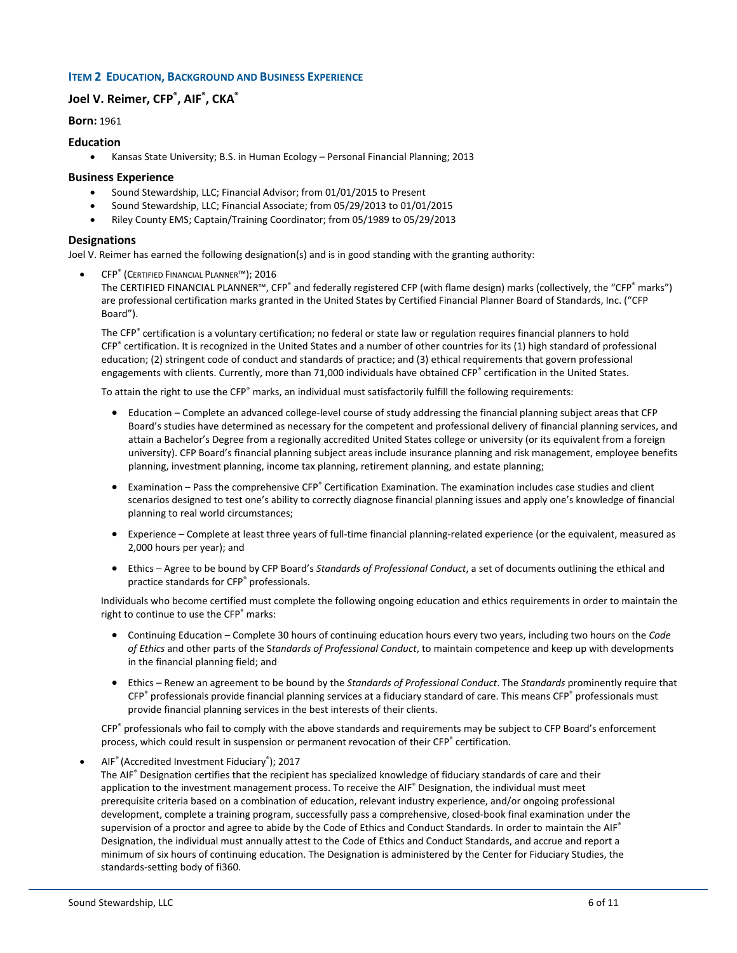## **ITEM 2 EDUCATION, BACKGROUND AND BUSINESS EXPERIENCE**

# **Joel V. Reimer, CFP® , AIF® , CKA®**

**Born:** 1961

#### **Education**

• Kansas State University; B.S. in Human Ecology – Personal Financial Planning; 2013

#### **Business Experience**

- Sound Stewardship, LLC; Financial Advisor; from 01/01/2015 to Present
- Sound Stewardship, LLC; Financial Associate; from 05/29/2013 to 01/01/2015
- Riley County EMS; Captain/Training Coordinator; from 05/1989 to 05/29/2013

#### **Designations**

Joel V. Reimer has earned the following designation(s) and is in good standing with the granting authority:

• CFP® (CERTIFIED FINANCIAL PLANNER™); 2016

The CERTIFIED FINANCIAL PLANNER™, CFP® and federally registered CFP (with flame design) marks (collectively, the "CFP® marks") are professional certification marks granted in the United States by Certified Financial Planner Board of Standards, Inc. ("CFP Board").

The CFP® certification is a voluntary certification; no federal or state law or regulation requires financial planners to hold CFP® certification. It is recognized in the United States and a number of other countries for its (1) high standard of professional education; (2) stringent code of conduct and standards of practice; and (3) ethical requirements that govern professional engagements with clients. Currently, more than 71,000 individuals have obtained CFP® certification in the United States.

To attain the right to use the CFP® marks, an individual must satisfactorily fulfill the following requirements:

- Education Complete an advanced college-level course of study addressing the financial planning subject areas that CFP Board's studies have determined as necessary for the competent and professional delivery of financial planning services, and attain a Bachelor's Degree from a regionally accredited United States college or university (or its equivalent from a foreign university). CFP Board's financial planning subject areas include insurance planning and risk management, employee benefits planning, investment planning, income tax planning, retirement planning, and estate planning;
- Examination Pass the comprehensive CFP® Certification Examination. The examination includes case studies and client scenarios designed to test one's ability to correctly diagnose financial planning issues and apply one's knowledge of financial planning to real world circumstances;
- Experience Complete at least three years of full-time financial planning-related experience (or the equivalent, measured as 2,000 hours per year); and
- Ethics Agree to be bound by CFP Board's *Standards of Professional Conduct*, a set of documents outlining the ethical and practice standards for CFP® professionals.

Individuals who become certified must complete the following ongoing education and ethics requirements in order to maintain the right to continue to use the CFP® marks:

- Continuing Education Complete 30 hours of continuing education hours every two years, including two hours on the *Code of Ethics* and other parts of the S*tandards of Professional Conduct*, to maintain competence and keep up with developments in the financial planning field; and
- Ethics Renew an agreement to be bound by the *Standards of Professional Conduct*. The *Standards* prominently require that CFP® professionals provide financial planning services at a fiduciary standard of care. This means CFP® professionals must provide financial planning services in the best interests of their clients.

CFP® professionals who fail to comply with the above standards and requirements may be subject to CFP Board's enforcement process, which could result in suspension or permanent revocation of their CFP® certification.

• AIF® (Accredited Investment Fiduciary®); 2017

The AIF® Designation certifies that the recipient has specialized knowledge of fiduciary standards of care and their application to the investment management process. To receive the AIF® Designation, the individual must meet prerequisite criteria based on a combination of education, relevant industry experience, and/or ongoing professional development, complete a training program, successfully pass a comprehensive, closed-book final examination under the supervision of a proctor and agree to abide by the Code of Ethics and Conduct Standards. In order to maintain the AIF<sup>®</sup> Designation, the individual must annually attest to the Code of Ethics and Conduct Standards, and accrue and report a minimum of six hours of continuing education. The Designation is administered by the Center for Fiduciary Studies, the standards-setting body of fi360.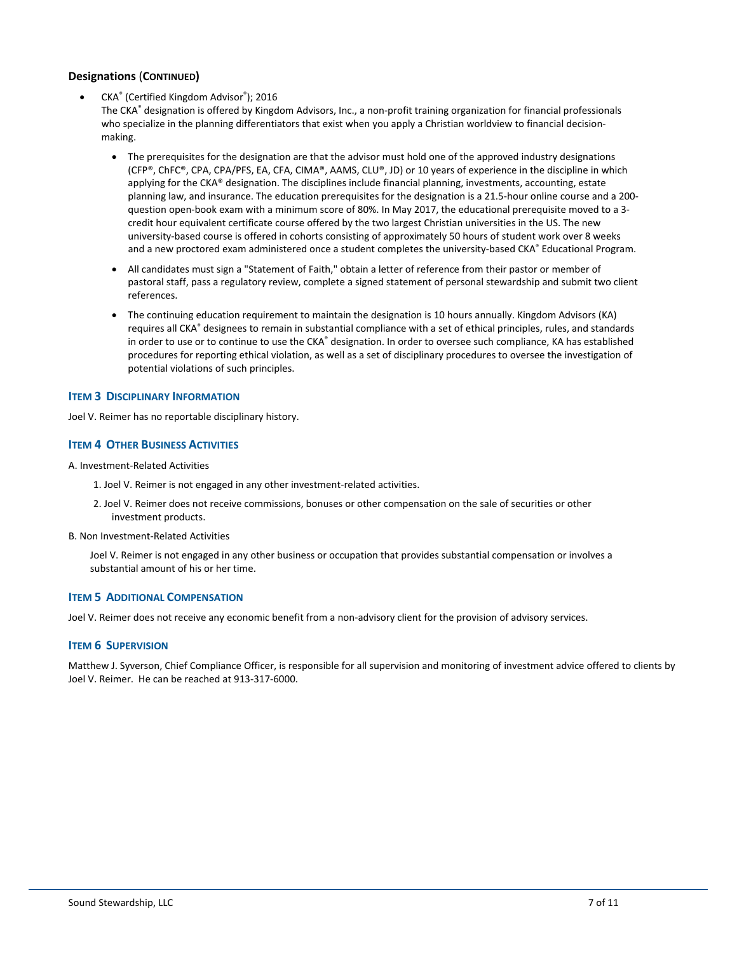# **Designations** (**CONTINUED)**

• CKA® (Certified Kingdom Advisor®); 2016

The CKA® designation is offered by Kingdom Advisors, Inc., a non-profit training organization for financial professionals who specialize in the planning differentiators that exist when you apply a Christian worldview to financial decisionmaking.

- The prerequisites for the designation are that the advisor must hold one of the approved industry designations (CFP®, ChFC®, CPA, CPA/PFS, EA, CFA, CIMA®, AAMS, CLU®, JD) or 10 years of experience in the discipline in which applying for the CKA® designation. The disciplines include financial planning, investments, accounting, estate planning law, and insurance. The education prerequisites for the designation is a 21.5-hour online course and a 200 question open-book exam with a minimum score of 80%. In May 2017, the educational prerequisite moved to a 3 credit hour equivalent certificate course offered by the two largest Christian universities in the US. The new university-based course is offered in cohorts consisting of approximately 50 hours of student work over 8 weeks and a new proctored exam administered once a student completes the university-based CKA® Educational Program.
- All candidates must sign a "Statement of Faith," obtain a letter of reference from their pastor or member of pastoral staff, pass a regulatory review, complete a signed statement of personal stewardship and submit two client references.
- The continuing education requirement to maintain the designation is 10 hours annually. Kingdom Advisors (KA) requires all CKA® designees to remain in substantial compliance with a set of ethical principles, rules, and standards in order to use or to continue to use the CKA® designation. In order to oversee such compliance, KA has established procedures for reporting ethical violation, as well as a set of disciplinary procedures to oversee the investigation of potential violations of such principles.

#### **ITEM 3 DISCIPLINARY INFORMATION**

Joel V. Reimer has no reportable disciplinary history.

## **ITEM 4 OTHER BUSINESS ACTIVITIES**

A. Investment-Related Activities

- 1. Joel V. Reimer is not engaged in any other investment-related activities.
- 2. Joel V. Reimer does not receive commissions, bonuses or other compensation on the sale of securities or other investment products.
- B. Non Investment-Related Activities

Joel V. Reimer is not engaged in any other business or occupation that provides substantial compensation or involves a substantial amount of his or her time.

## **ITEM 5 ADDITIONAL COMPENSATION**

Joel V. Reimer does not receive any economic benefit from a non-advisory client for the provision of advisory services.

#### **ITEM 6 SUPERVISION**

Matthew J. Syverson, Chief Compliance Officer, is responsible for all supervision and monitoring of investment advice offered to clients by Joel V. Reimer. He can be reached at 913-317-6000.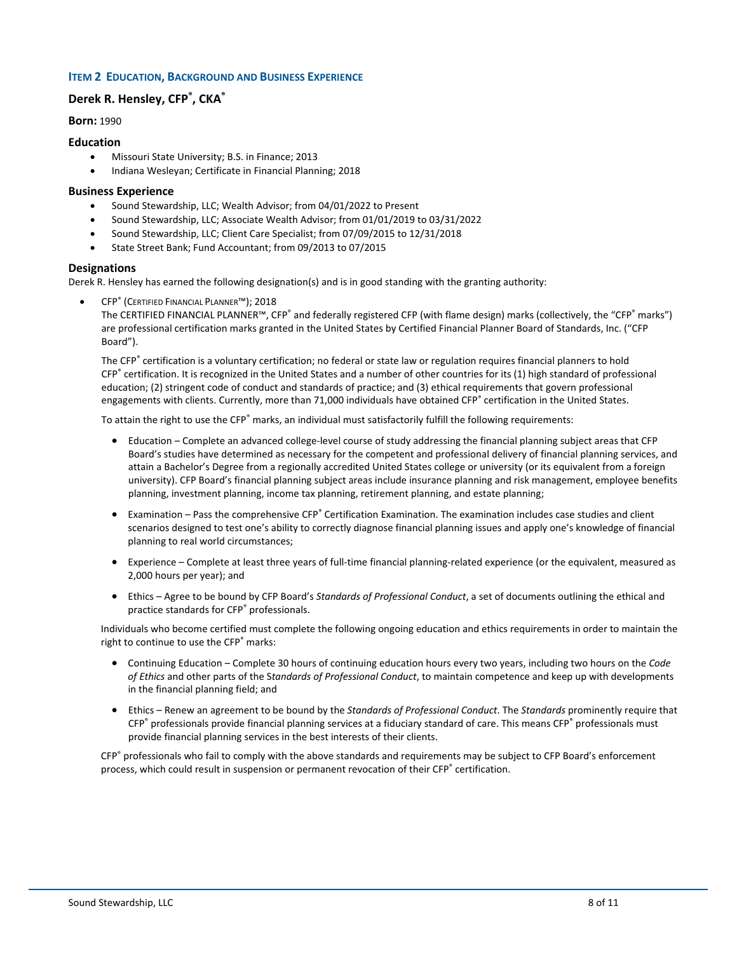## **ITEM 2 EDUCATION, BACKGROUND AND BUSINESS EXPERIENCE**

# **Derek R. Hensley, CFP® , CKA®**

**Born:** 1990

#### **Education**

- Missouri State University; B.S. in Finance; 2013
- Indiana Wesleyan; Certificate in Financial Planning; 2018

## **Business Experience**

- Sound Stewardship, LLC; Wealth Advisor; from 04/01/2022 to Present
- Sound Stewardship, LLC; Associate Wealth Advisor; from 01/01/2019 to 03/31/2022
- Sound Stewardship, LLC; Client Care Specialist; from 07/09/2015 to 12/31/2018
- State Street Bank; Fund Accountant; from 09/2013 to 07/2015

## **Designations**

Derek R. Hensley has earned the following designation(s) and is in good standing with the granting authority:

• CFP® (CERTIFIED FINANCIAL PLANNER™); 2018

The CERTIFIED FINANCIAL PLANNER™, CFP® and federally registered CFP (with flame design) marks (collectively, the "CFP® marks") are professional certification marks granted in the United States by Certified Financial Planner Board of Standards, Inc. ("CFP Board").

The CFP<sup>®</sup> certification is a voluntary certification; no federal or state law or regulation requires financial planners to hold CFP® certification. It is recognized in the United States and a number of other countries for its (1) high standard of professional education; (2) stringent code of conduct and standards of practice; and (3) ethical requirements that govern professional engagements with clients. Currently, more than 71,000 individuals have obtained CFP® certification in the United States.

To attain the right to use the CFP® marks, an individual must satisfactorily fulfill the following requirements:

- Education Complete an advanced college-level course of study addressing the financial planning subject areas that CFP Board's studies have determined as necessary for the competent and professional delivery of financial planning services, and attain a Bachelor's Degree from a regionally accredited United States college or university (or its equivalent from a foreign university). CFP Board's financial planning subject areas include insurance planning and risk management, employee benefits planning, investment planning, income tax planning, retirement planning, and estate planning;
- Examination Pass the comprehensive CFP® Certification Examination. The examination includes case studies and client scenarios designed to test one's ability to correctly diagnose financial planning issues and apply one's knowledge of financial planning to real world circumstances;
- Experience Complete at least three years of full-time financial planning-related experience (or the equivalent, measured as 2,000 hours per year); and
- Ethics Agree to be bound by CFP Board's *Standards of Professional Conduct*, a set of documents outlining the ethical and practice standards for CFP® professionals.

Individuals who become certified must complete the following ongoing education and ethics requirements in order to maintain the right to continue to use the CFP<sup>®</sup> marks:

- Continuing Education Complete 30 hours of continuing education hours every two years, including two hours on the *Code of Ethics* and other parts of the S*tandards of Professional Conduct*, to maintain competence and keep up with developments in the financial planning field; and
- Ethics Renew an agreement to be bound by the *Standards of Professional Conduct*. The *Standards* prominently require that CFP® professionals provide financial planning services at a fiduciary standard of care. This means CFP® professionals must provide financial planning services in the best interests of their clients.

CFP® professionals who fail to comply with the above standards and requirements may be subject to CFP Board's enforcement process, which could result in suspension or permanent revocation of their CFP® certification.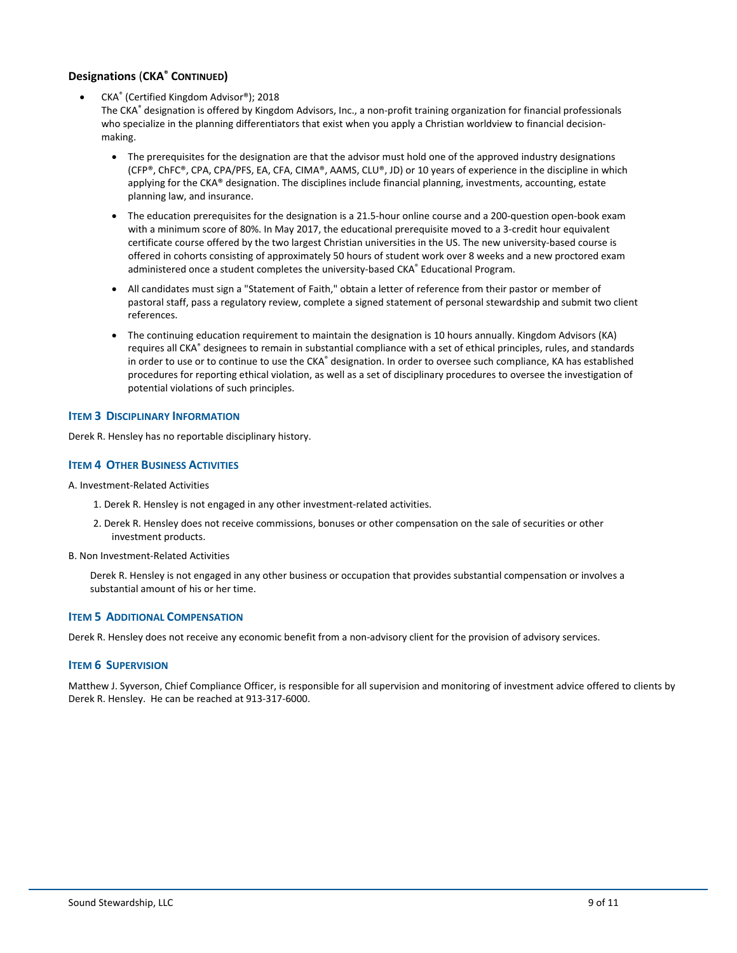# **Designations** (**CKA® CONTINUED)**

• CKA® (Certified Kingdom Advisor®); 2018

The CKA® designation is offered by Kingdom Advisors, Inc., a non-profit training organization for financial professionals who specialize in the planning differentiators that exist when you apply a Christian worldview to financial decisionmaking.

- The prerequisites for the designation are that the advisor must hold one of the approved industry designations (CFP®, ChFC®, CPA, CPA/PFS, EA, CFA, CIMA®, AAMS, CLU®, JD) or 10 years of experience in the discipline in which applying for the CKA® designation. The disciplines include financial planning, investments, accounting, estate planning law, and insurance.
- The education prerequisites for the designation is a 21.5-hour online course and a 200-question open-book exam with a minimum score of 80%. In May 2017, the educational prerequisite moved to a 3-credit hour equivalent certificate course offered by the two largest Christian universities in the US. The new university-based course is offered in cohorts consisting of approximately 50 hours of student work over 8 weeks and a new proctored exam administered once a student completes the university-based CKA® Educational Program.
- All candidates must sign a "Statement of Faith," obtain a letter of reference from their pastor or member of pastoral staff, pass a regulatory review, complete a signed statement of personal stewardship and submit two client references.
- The continuing education requirement to maintain the designation is 10 hours annually. Kingdom Advisors (KA) requires all CKA® designees to remain in substantial compliance with a set of ethical principles, rules, and standards in order to use or to continue to use the CKA® designation. In order to oversee such compliance, KA has established procedures for reporting ethical violation, as well as a set of disciplinary procedures to oversee the investigation of potential violations of such principles.

# **ITEM 3 DISCIPLINARY INFORMATION**

Derek R. Hensley has no reportable disciplinary history.

# **ITEM 4 OTHER BUSINESS ACTIVITIES**

A. Investment-Related Activities

- 1. Derek R. Hensley is not engaged in any other investment-related activities.
- 2. Derek R. Hensley does not receive commissions, bonuses or other compensation on the sale of securities or other investment products.

B. Non Investment-Related Activities

Derek R. Hensley is not engaged in any other business or occupation that provides substantial compensation or involves a substantial amount of his or her time.

## **ITEM 5 ADDITIONAL COMPENSATION**

Derek R. Hensley does not receive any economic benefit from a non-advisory client for the provision of advisory services.

## **ITEM 6 SUPERVISION**

Matthew J. Syverson, Chief Compliance Officer, is responsible for all supervision and monitoring of investment advice offered to clients by Derek R. Hensley. He can be reached at 913-317-6000.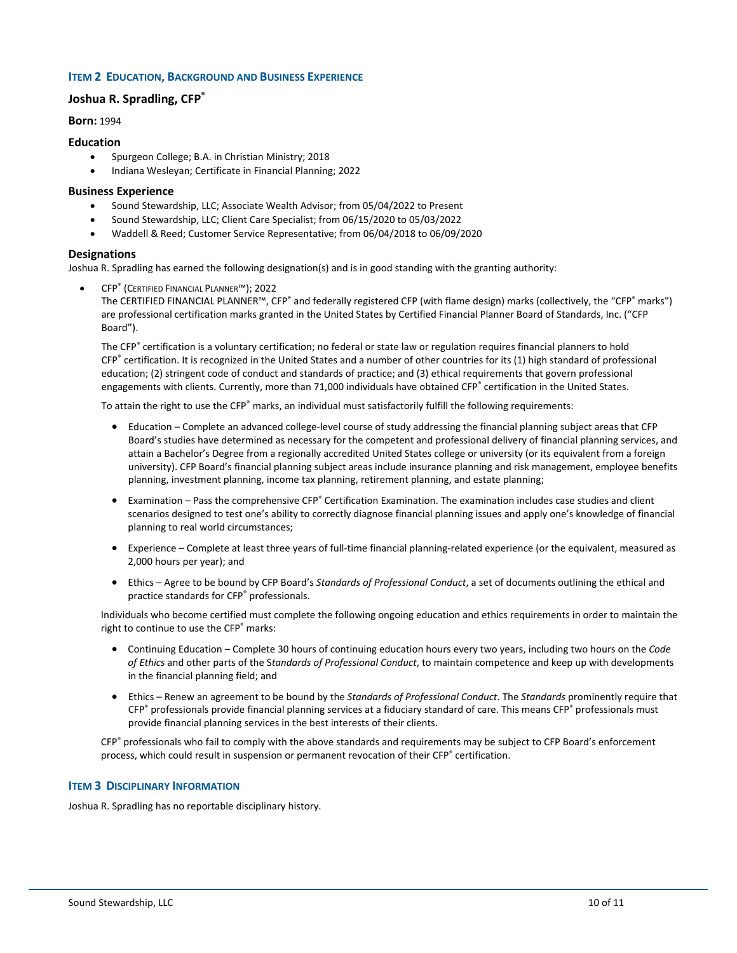## **ITEM 2 EDUCATION, BACKGROUND AND BUSINESS EXPERIENCE**

# **Joshua R. Spradling, CFP®**

**Born:** 1994

#### **Education**

- Spurgeon College; B.A. in Christian Ministry; 2018
- Indiana Wesleyan; Certificate in Financial Planning; 2022

## **Business Experience**

- Sound Stewardship, LLC; Associate Wealth Advisor; from 05/04/2022 to Present
- Sound Stewardship, LLC; Client Care Specialist; from 06/15/2020 to 05/03/2022
- Waddell & Reed; Customer Service Representative; from 06/04/2018 to 06/09/2020

## **Designations**

Joshua R. Spradling has earned the following designation(s) and is in good standing with the granting authority:

• CFP® (CERTIFIED FINANCIAL PLANNER™); 2022

The CERTIFIED FINANCIAL PLANNER™, CFP® and federally registered CFP (with flame design) marks (collectively, the "CFP® marks") are professional certification marks granted in the United States by Certified Financial Planner Board of Standards, Inc. ("CFP Board").

The CFP® certification is a voluntary certification; no federal or state law or regulation requires financial planners to hold CFP® certification. It is recognized in the United States and a number of other countries for its (1) high standard of professional education; (2) stringent code of conduct and standards of practice; and (3) ethical requirements that govern professional engagements with clients. Currently, more than 71,000 individuals have obtained CFP® certification in the United States.

To attain the right to use the CFP® marks, an individual must satisfactorily fulfill the following requirements:

- Education Complete an advanced college-level course of study addressing the financial planning subject areas that CFP Board's studies have determined as necessary for the competent and professional delivery of financial planning services, and attain a Bachelor's Degree from a regionally accredited United States college or university (or its equivalent from a foreign university). CFP Board's financial planning subject areas include insurance planning and risk management, employee benefits planning, investment planning, income tax planning, retirement planning, and estate planning;
- Examination Pass the comprehensive CFP® Certification Examination. The examination includes case studies and client scenarios designed to test one's ability to correctly diagnose financial planning issues and apply one's knowledge of financial planning to real world circumstances;
- Experience Complete at least three years of full-time financial planning-related experience (or the equivalent, measured as 2,000 hours per year); and
- Ethics Agree to be bound by CFP Board's *Standards of Professional Conduct*, a set of documents outlining the ethical and practice standards for CFP<sup>®</sup> professionals.

Individuals who become certified must complete the following ongoing education and ethics requirements in order to maintain the right to continue to use the CFP® marks:

- Continuing Education Complete 30 hours of continuing education hours every two years, including two hours on the *Code of Ethics* and other parts of the S*tandards of Professional Conduct*, to maintain competence and keep up with developments in the financial planning field; and
- Ethics Renew an agreement to be bound by the *Standards of Professional Conduct*. The *Standards* prominently require that CFP® professionals provide financial planning services at a fiduciary standard of care. This means CFP® professionals must provide financial planning services in the best interests of their clients.

CFP® professionals who fail to comply with the above standards and requirements may be subject to CFP Board's enforcement process, which could result in suspension or permanent revocation of their CFP® certification.

#### **ITEM 3 DISCIPLINARY INFORMATION**

Joshua R. Spradling has no reportable disciplinary history.